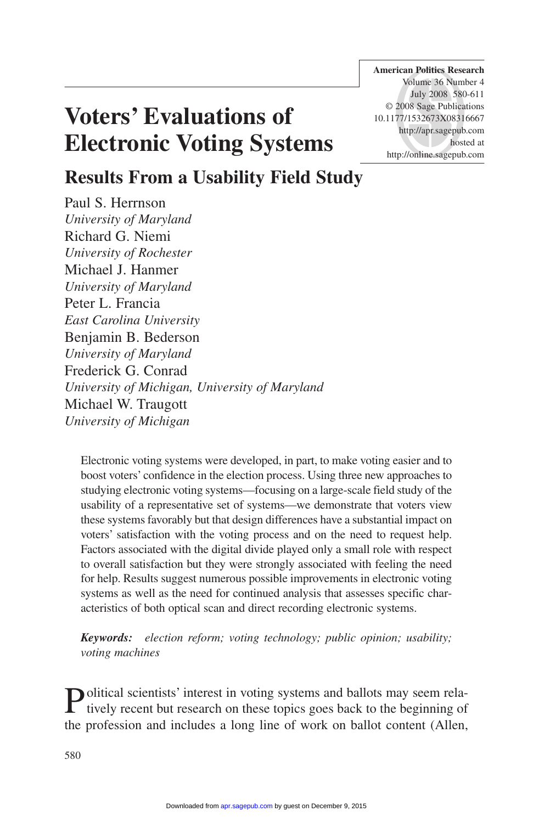**American Politics Research** Volume 36 Number 4 July 2008 580-611 © 2008 Sage Publications 10.1177/1532673X08316667 http://apr.sagepub.com hosted at http://online.sagepub.com

## **Voters' Evaluations of Electronic Voting Systems**

### **Results From a Usability Field Study**

Paul S. Herrnson *University of Maryland* Richard G. Niemi *University of Rochester* Michael J. Hanmer *University of Maryland* Peter L. Francia *East Carolina University* Benjamin B. Bederson *University of Maryland* Frederick G. Conrad *University of Michigan, University of Maryland* Michael W. Traugott *University of Michigan*

Electronic voting systems were developed, in part, to make voting easier and to boost voters' confidence in the election process. Using three new approaches to studying electronic voting systems—focusing on a large-scale field study of the usability of a representative set of systems—we demonstrate that voters view these systems favorably but that design differences have a substantial impact on voters' satisfaction with the voting process and on the need to request help. Factors associated with the digital divide played only a small role with respect to overall satisfaction but they were strongly associated with feeling the need for help. Results suggest numerous possible improvements in electronic voting systems as well as the need for continued analysis that assesses specific characteristics of both optical scan and direct recording electronic systems.

*Keywords: election reform; voting technology; public opinion; usability; voting machines*

Political scientists' interest in voting systems and ballots may seem rela-<br>tively recent but research on these topics goes back to the beginning of the profession and includes a long line of work on ballot content (Allen,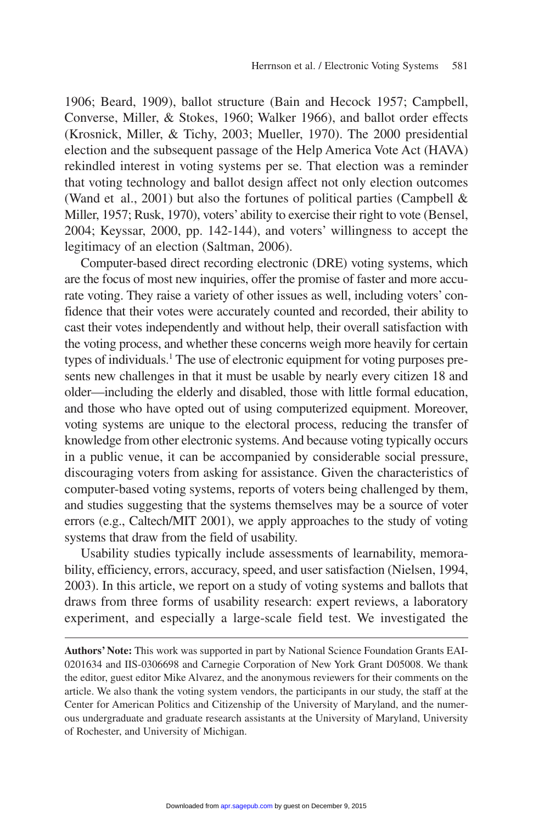1906; Beard, 1909), ballot structure (Bain and Hecock 1957; Campbell, Converse, Miller, & Stokes, 1960; Walker 1966), and ballot order effects (Krosnick, Miller, & Tichy, 2003; Mueller, 1970). The 2000 presidential election and the subsequent passage of the Help America Vote Act (HAVA) rekindled interest in voting systems per se. That election was a reminder that voting technology and ballot design affect not only election outcomes (Wand et al., 2001) but also the fortunes of political parties (Campbell & Miller, 1957; Rusk, 1970), voters'ability to exercise their right to vote (Bensel, 2004; Keyssar, 2000, pp. 142-144), and voters' willingness to accept the legitimacy of an election (Saltman, 2006).

Computer-based direct recording electronic (DRE) voting systems, which are the focus of most new inquiries, offer the promise of faster and more accurate voting. They raise a variety of other issues as well, including voters' confidence that their votes were accurately counted and recorded, their ability to cast their votes independently and without help, their overall satisfaction with the voting process, and whether these concerns weigh more heavily for certain types of individuals.<sup>1</sup> The use of electronic equipment for voting purposes presents new challenges in that it must be usable by nearly every citizen 18 and older—including the elderly and disabled, those with little formal education, and those who have opted out of using computerized equipment. Moreover, voting systems are unique to the electoral process, reducing the transfer of knowledge from other electronic systems. And because voting typically occurs in a public venue, it can be accompanied by considerable social pressure, discouraging voters from asking for assistance. Given the characteristics of computer-based voting systems, reports of voters being challenged by them, and studies suggesting that the systems themselves may be a source of voter errors (e.g., Caltech/MIT 2001), we apply approaches to the study of voting systems that draw from the field of usability.

Usability studies typically include assessments of learnability, memorability, efficiency, errors, accuracy, speed, and user satisfaction (Nielsen, 1994, 2003). In this article, we report on a study of voting systems and ballots that draws from three forms of usability research: expert reviews, a laboratory experiment, and especially a large-scale field test. We investigated the

**Authors' Note:** This work was supported in part by National Science Foundation Grants EAI-0201634 and IIS-0306698 and Carnegie Corporation of New York Grant D05008. We thank the editor, guest editor Mike Alvarez, and the anonymous reviewers for their comments on the article. We also thank the voting system vendors, the participants in our study, the staff at the Center for American Politics and Citizenship of the University of Maryland, and the numerous undergraduate and graduate research assistants at the University of Maryland, University of Rochester, and University of Michigan.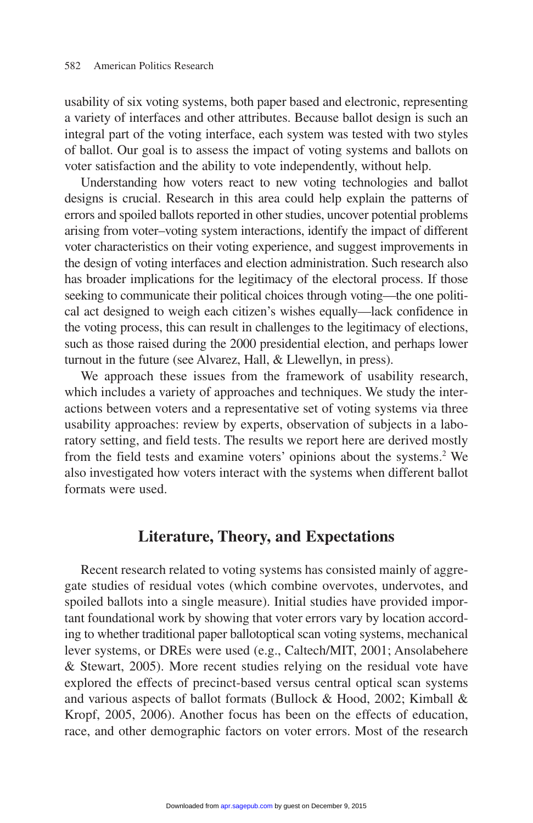usability of six voting systems, both paper based and electronic, representing a variety of interfaces and other attributes. Because ballot design is such an integral part of the voting interface, each system was tested with two styles of ballot. Our goal is to assess the impact of voting systems and ballots on voter satisfaction and the ability to vote independently, without help.

Understanding how voters react to new voting technologies and ballot designs is crucial. Research in this area could help explain the patterns of errors and spoiled ballots reported in other studies, uncover potential problems arising from voter–voting system interactions, identify the impact of different voter characteristics on their voting experience, and suggest improvements in the design of voting interfaces and election administration. Such research also has broader implications for the legitimacy of the electoral process. If those seeking to communicate their political choices through voting—the one political act designed to weigh each citizen's wishes equally—lack confidence in the voting process, this can result in challenges to the legitimacy of elections, such as those raised during the 2000 presidential election, and perhaps lower turnout in the future (see Alvarez, Hall, & Llewellyn, in press).

We approach these issues from the framework of usability research, which includes a variety of approaches and techniques. We study the interactions between voters and a representative set of voting systems via three usability approaches: review by experts, observation of subjects in a laboratory setting, and field tests. The results we report here are derived mostly from the field tests and examine voters' opinions about the systems.<sup>2</sup> We also investigated how voters interact with the systems when different ballot formats were used.

#### **Literature, Theory, and Expectations**

Recent research related to voting systems has consisted mainly of aggregate studies of residual votes (which combine overvotes, undervotes, and spoiled ballots into a single measure). Initial studies have provided important foundational work by showing that voter errors vary by location according to whether traditional paper ballotoptical scan voting systems, mechanical lever systems, or DREs were used (e.g., Caltech/MIT, 2001; Ansolabehere & Stewart, 2005). More recent studies relying on the residual vote have explored the effects of precinct-based versus central optical scan systems and various aspects of ballot formats (Bullock & Hood, 2002; Kimball & Kropf, 2005, 2006). Another focus has been on the effects of education, race, and other demographic factors on voter errors. Most of the research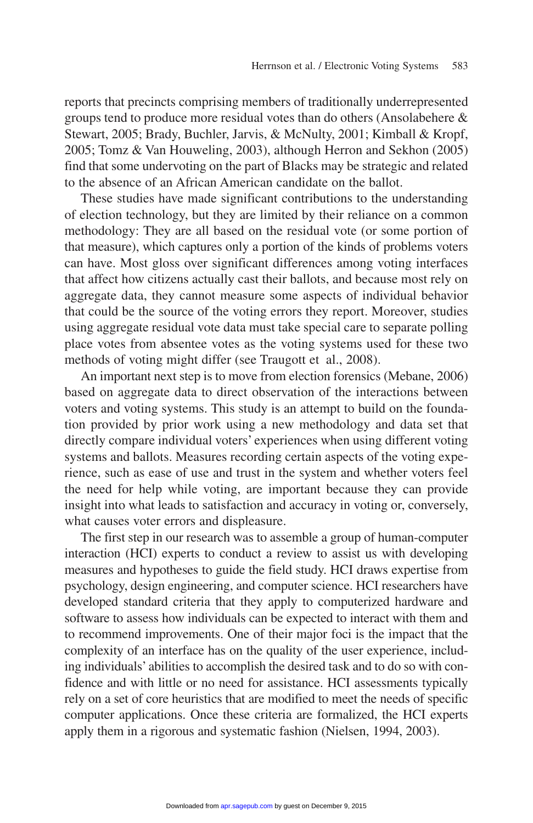reports that precincts comprising members of traditionally underrepresented groups tend to produce more residual votes than do others (Ansolabehere & Stewart, 2005; Brady, Buchler, Jarvis, & McNulty, 2001; Kimball & Kropf, 2005; Tomz & Van Houweling, 2003), although Herron and Sekhon (2005) find that some undervoting on the part of Blacks may be strategic and related to the absence of an African American candidate on the ballot.

These studies have made significant contributions to the understanding of election technology, but they are limited by their reliance on a common methodology: They are all based on the residual vote (or some portion of that measure), which captures only a portion of the kinds of problems voters can have. Most gloss over significant differences among voting interfaces that affect how citizens actually cast their ballots, and because most rely on aggregate data, they cannot measure some aspects of individual behavior that could be the source of the voting errors they report. Moreover, studies using aggregate residual vote data must take special care to separate polling place votes from absentee votes as the voting systems used for these two methods of voting might differ (see Traugott et al., 2008).

An important next step is to move from election forensics (Mebane, 2006) based on aggregate data to direct observation of the interactions between voters and voting systems. This study is an attempt to build on the foundation provided by prior work using a new methodology and data set that directly compare individual voters' experiences when using different voting systems and ballots. Measures recording certain aspects of the voting experience, such as ease of use and trust in the system and whether voters feel the need for help while voting, are important because they can provide insight into what leads to satisfaction and accuracy in voting or, conversely, what causes voter errors and displeasure.

The first step in our research was to assemble a group of human-computer interaction (HCI) experts to conduct a review to assist us with developing measures and hypotheses to guide the field study. HCI draws expertise from psychology, design engineering, and computer science. HCI researchers have developed standard criteria that they apply to computerized hardware and software to assess how individuals can be expected to interact with them and to recommend improvements. One of their major foci is the impact that the complexity of an interface has on the quality of the user experience, including individuals' abilities to accomplish the desired task and to do so with confidence and with little or no need for assistance. HCI assessments typically rely on a set of core heuristics that are modified to meet the needs of specific computer applications. Once these criteria are formalized, the HCI experts apply them in a rigorous and systematic fashion (Nielsen, 1994, 2003).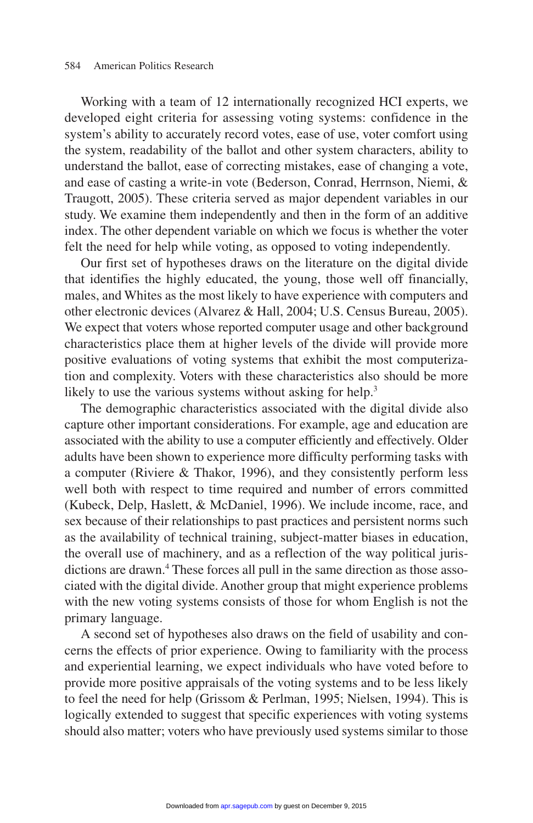Working with a team of 12 internationally recognized HCI experts, we developed eight criteria for assessing voting systems: confidence in the system's ability to accurately record votes, ease of use, voter comfort using the system, readability of the ballot and other system characters, ability to understand the ballot, ease of correcting mistakes, ease of changing a vote, and ease of casting a write-in vote (Bederson, Conrad, Herrnson, Niemi, & Traugott, 2005). These criteria served as major dependent variables in our study. We examine them independently and then in the form of an additive index. The other dependent variable on which we focus is whether the voter felt the need for help while voting, as opposed to voting independently.

Our first set of hypotheses draws on the literature on the digital divide that identifies the highly educated, the young, those well off financially, males, and Whites as the most likely to have experience with computers and other electronic devices (Alvarez & Hall, 2004; U.S. Census Bureau, 2005). We expect that voters whose reported computer usage and other background characteristics place them at higher levels of the divide will provide more positive evaluations of voting systems that exhibit the most computerization and complexity. Voters with these characteristics also should be more likely to use the various systems without asking for help.<sup>3</sup>

The demographic characteristics associated with the digital divide also capture other important considerations. For example, age and education are associated with the ability to use a computer efficiently and effectively. Older adults have been shown to experience more difficulty performing tasks with a computer (Riviere & Thakor, 1996), and they consistently perform less well both with respect to time required and number of errors committed (Kubeck, Delp, Haslett, & McDaniel, 1996). We include income, race, and sex because of their relationships to past practices and persistent norms such as the availability of technical training, subject-matter biases in education, the overall use of machinery, and as a reflection of the way political jurisdictions are drawn.<sup>4</sup> These forces all pull in the same direction as those associated with the digital divide. Another group that might experience problems with the new voting systems consists of those for whom English is not the primary language.

A second set of hypotheses also draws on the field of usability and concerns the effects of prior experience. Owing to familiarity with the process and experiential learning, we expect individuals who have voted before to provide more positive appraisals of the voting systems and to be less likely to feel the need for help (Grissom & Perlman, 1995; Nielsen, 1994). This is logically extended to suggest that specific experiences with voting systems should also matter; voters who have previously used systems similar to those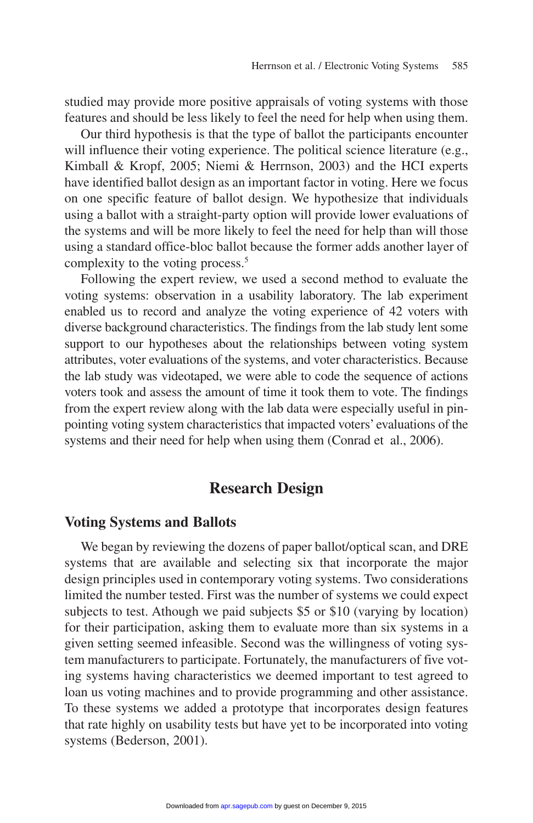studied may provide more positive appraisals of voting systems with those features and should be less likely to feel the need for help when using them.

Our third hypothesis is that the type of ballot the participants encounter will influence their voting experience. The political science literature (e.g., Kimball & Kropf, 2005; Niemi & Herrnson, 2003) and the HCI experts have identified ballot design as an important factor in voting. Here we focus on one specific feature of ballot design. We hypothesize that individuals using a ballot with a straight-party option will provide lower evaluations of the systems and will be more likely to feel the need for help than will those using a standard office-bloc ballot because the former adds another layer of complexity to the voting process.<sup>5</sup>

Following the expert review, we used a second method to evaluate the voting systems: observation in a usability laboratory. The lab experiment enabled us to record and analyze the voting experience of 42 voters with diverse background characteristics. The findings from the lab study lent some support to our hypotheses about the relationships between voting system attributes, voter evaluations of the systems, and voter characteristics. Because the lab study was videotaped, we were able to code the sequence of actions voters took and assess the amount of time it took them to vote. The findings from the expert review along with the lab data were especially useful in pinpointing voting system characteristics that impacted voters' evaluations of the systems and their need for help when using them (Conrad et al., 2006).

#### **Research Design**

#### **Voting Systems and Ballots**

We began by reviewing the dozens of paper ballot/optical scan, and DRE systems that are available and selecting six that incorporate the major design principles used in contemporary voting systems. Two considerations limited the number tested. First was the number of systems we could expect subjects to test. Athough we paid subjects \$5 or \$10 (varying by location) for their participation, asking them to evaluate more than six systems in a given setting seemed infeasible. Second was the willingness of voting system manufacturers to participate. Fortunately, the manufacturers of five voting systems having characteristics we deemed important to test agreed to loan us voting machines and to provide programming and other assistance. To these systems we added a prototype that incorporates design features that rate highly on usability tests but have yet to be incorporated into voting systems (Bederson, 2001).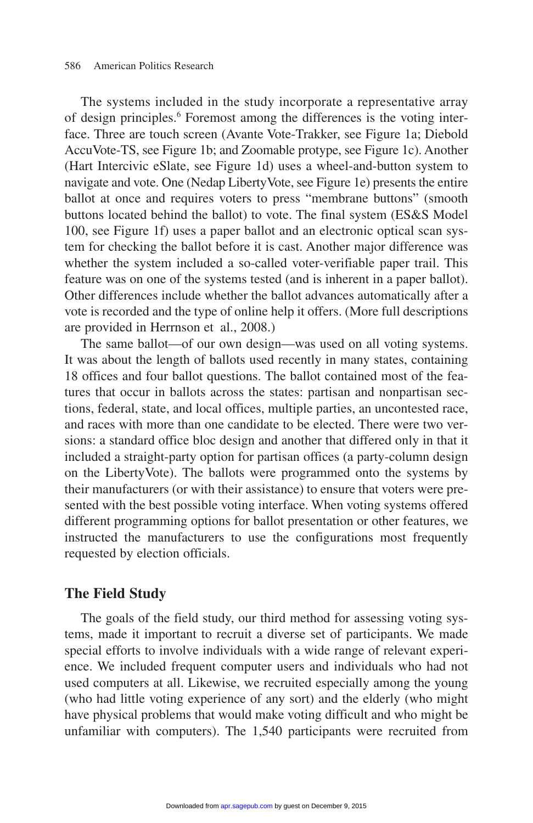The systems included in the study incorporate a representative array of design principles.<sup>6</sup> Foremost among the differences is the voting interface. Three are touch screen (Avante Vote-Trakker, see Figure 1a; Diebold AccuVote-TS, see Figure 1b; and Zoomable protype, see Figure 1c). Another (Hart Intercivic eSlate, see Figure 1d) uses a wheel-and-button system to navigate and vote. One (Nedap LibertyVote, see Figure 1e) presents the entire ballot at once and requires voters to press "membrane buttons" (smooth buttons located behind the ballot) to vote. The final system (ES&S Model 100, see Figure 1f) uses a paper ballot and an electronic optical scan system for checking the ballot before it is cast. Another major difference was whether the system included a so-called voter-verifiable paper trail. This feature was on one of the systems tested (and is inherent in a paper ballot). Other differences include whether the ballot advances automatically after a vote is recorded and the type of online help it offers. (More full descriptions are provided in Herrnson et al., 2008.)

The same ballot—of our own design—was used on all voting systems. It was about the length of ballots used recently in many states, containing 18 offices and four ballot questions. The ballot contained most of the features that occur in ballots across the states: partisan and nonpartisan sections, federal, state, and local offices, multiple parties, an uncontested race, and races with more than one candidate to be elected. There were two versions: a standard office bloc design and another that differed only in that it included a straight-party option for partisan offices (a party-column design on the LibertyVote). The ballots were programmed onto the systems by their manufacturers (or with their assistance) to ensure that voters were presented with the best possible voting interface. When voting systems offered different programming options for ballot presentation or other features, we instructed the manufacturers to use the configurations most frequently requested by election officials.

#### **The Field Study**

The goals of the field study, our third method for assessing voting systems, made it important to recruit a diverse set of participants. We made special efforts to involve individuals with a wide range of relevant experience. We included frequent computer users and individuals who had not used computers at all. Likewise, we recruited especially among the young (who had little voting experience of any sort) and the elderly (who might have physical problems that would make voting difficult and who might be unfamiliar with computers). The 1,540 participants were recruited from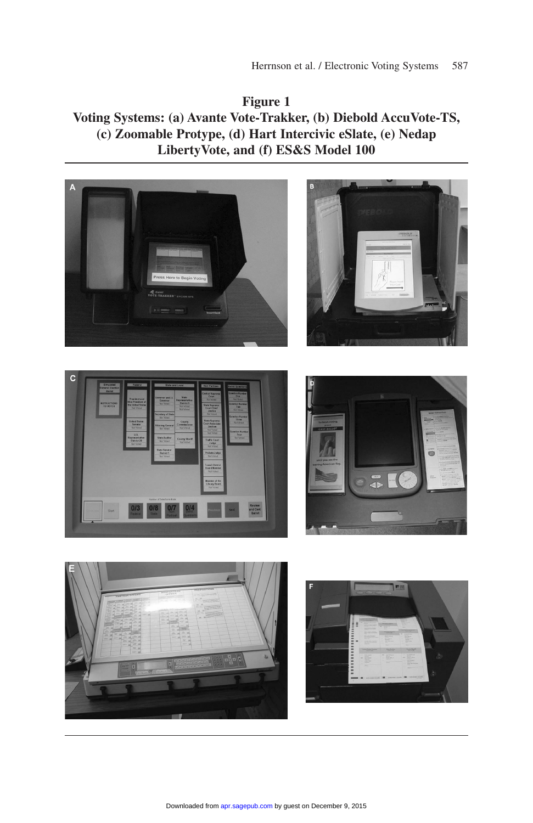**Figure 1 Voting Systems: (a) Avante Vote-Trakker, (b) Diebold AccuVote-TS, (c) Zoomable Protype, (d) Hart Intercivic eSlate, (e) Nedap LibertyVote, and (f) ES&S Model 100** 

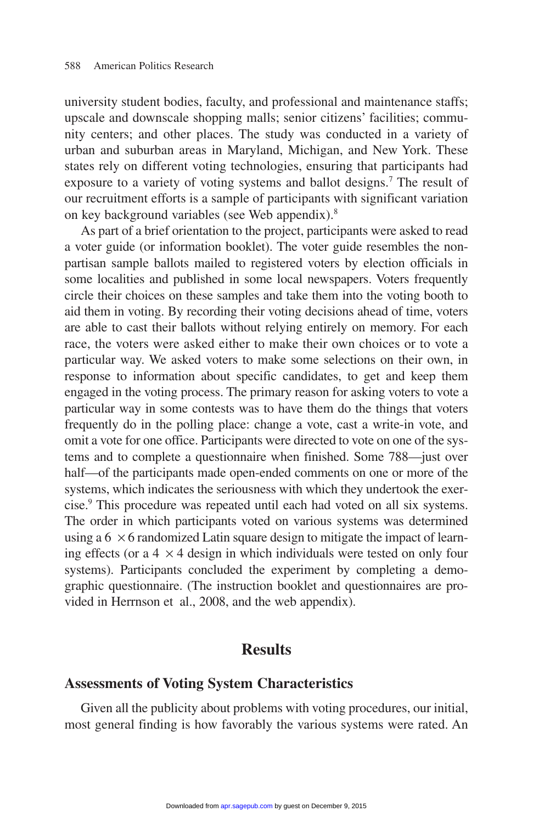university student bodies, faculty, and professional and maintenance staffs; upscale and downscale shopping malls; senior citizens' facilities; community centers; and other places. The study was conducted in a variety of urban and suburban areas in Maryland, Michigan, and New York. These states rely on different voting technologies, ensuring that participants had exposure to a variety of voting systems and ballot designs.<sup>7</sup> The result of our recruitment efforts is a sample of participants with significant variation on key background variables (see Web appendix).8

As part of a brief orientation to the project, participants were asked to read a voter guide (or information booklet). The voter guide resembles the nonpartisan sample ballots mailed to registered voters by election officials in some localities and published in some local newspapers. Voters frequently circle their choices on these samples and take them into the voting booth to aid them in voting. By recording their voting decisions ahead of time, voters are able to cast their ballots without relying entirely on memory. For each race, the voters were asked either to make their own choices or to vote a particular way. We asked voters to make some selections on their own, in response to information about specific candidates, to get and keep them engaged in the voting process. The primary reason for asking voters to vote a particular way in some contests was to have them do the things that voters frequently do in the polling place: change a vote, cast a write-in vote, and omit a vote for one office. Participants were directed to vote on one of the systems and to complete a questionnaire when finished. Some 788—just over half—of the participants made open-ended comments on one or more of the systems, which indicates the seriousness with which they undertook the exercise.9 This procedure was repeated until each had voted on all six systems. The order in which participants voted on various systems was determined using a  $6 \times 6$  randomized Latin square design to mitigate the impact of learning effects (or a  $4 \times 4$  design in which individuals were tested on only four systems). Participants concluded the experiment by completing a demographic questionnaire. (The instruction booklet and questionnaires are provided in Herrnson et al., 2008, and the web appendix).

#### **Results**

#### **Assessments of Voting System Characteristics**

Given all the publicity about problems with voting procedures, our initial, most general finding is how favorably the various systems were rated. An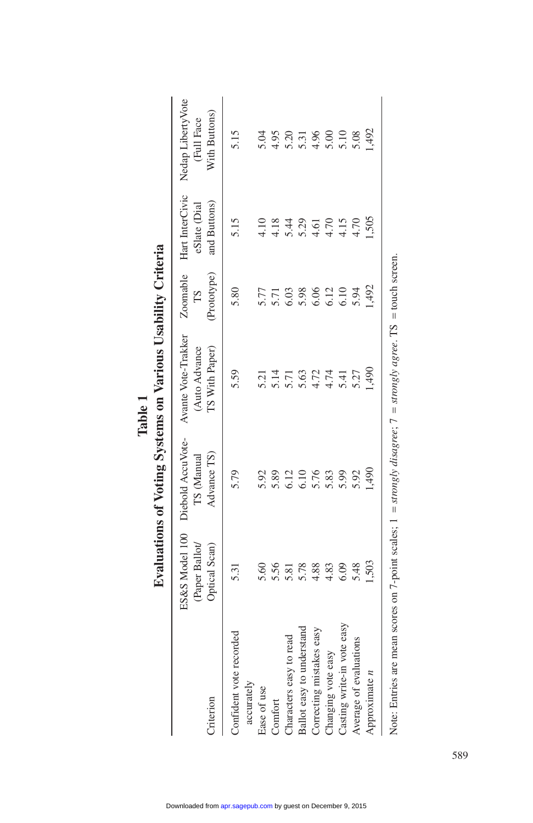|                                                                                                                                                                          |                                 |                                                               | Evaluations of Voting Systems on Various Usability Criteria |                   |                              |                                                                           |
|--------------------------------------------------------------------------------------------------------------------------------------------------------------------------|---------------------------------|---------------------------------------------------------------|-------------------------------------------------------------|-------------------|------------------------------|---------------------------------------------------------------------------|
| Criterion                                                                                                                                                                | (Paper Ballot/<br>Optical Scan) | ES&S Model 100 Diebold AccuVote-<br>Advance TS)<br>TS (Manual | Avante Vote-Trakker<br>TS With Paper)<br>(Auto Advance      | (Prototype)<br>ТS | and Buttons)<br>eSlate (Dial | Zoomable Hart InterCivic Nedap Liberty Vote<br>With Buttons)<br>Full Face |
| Confident vote recorded<br>accurately                                                                                                                                    | 5.31                            | 5.79                                                          | 5.59                                                        | 5.80              | 5.15                         | 5.15                                                                      |
| Ease of use                                                                                                                                                              | 5.60                            | 5.92                                                          | 5.21                                                        | 5.77              | 4.10                         | 5.04                                                                      |
| Comfort                                                                                                                                                                  | 5.56                            | 5.89                                                          | 5.14                                                        | 5.71              | 4.18                         | 4.95                                                                      |
| Characters easy to read                                                                                                                                                  | 5.81                            | 5.12                                                          | 5.71                                                        | 6.03              | 5.44                         | 5.20                                                                      |
| Ballot easy to understand                                                                                                                                                | 5.78                            | 5.10                                                          | 5.63                                                        | 5.98              | 5.29                         | 5.31                                                                      |
| Correcting mistakes easy                                                                                                                                                 | 4.88                            | 5.76                                                          | 4.72                                                        | 6.06              | 4.61                         | 4.96                                                                      |
| Changing vote easy                                                                                                                                                       | 4.83                            | 5.83                                                          | 4.74                                                        | 6.12              | 4.70                         | 5.00                                                                      |
| Casting write-in vote easy                                                                                                                                               | 6.09                            | 5.99                                                          | 5.41                                                        | 6.10              | 4.15                         | 5.10                                                                      |
| Average of evaluations                                                                                                                                                   | 5.48                            | 5.92                                                          | 5.27                                                        | 5.94              | 4.70                         | 5.08                                                                      |
| Approximate $n$                                                                                                                                                          | 503                             | 66p                                                           | 65                                                          | 1,492             | 1,505                        | 492                                                                       |
| Note: Entries are mean scores on 7-point scales; $1 = \frac{\text{strongly}}{\text{diag}}$ disagree; $7 = \frac{\text{strongly}}{\text{diag}}$ agree. TS = touch screen. |                                 |                                                               |                                                             |                   |                              |                                                                           |

|        | Usabili.<br>Ξ, |
|--------|----------------|
|        | Various        |
|        | $\frac{1}{2}$  |
| Table. | vstems         |
|        | $\sim$         |
|        |                |
|        |                |

589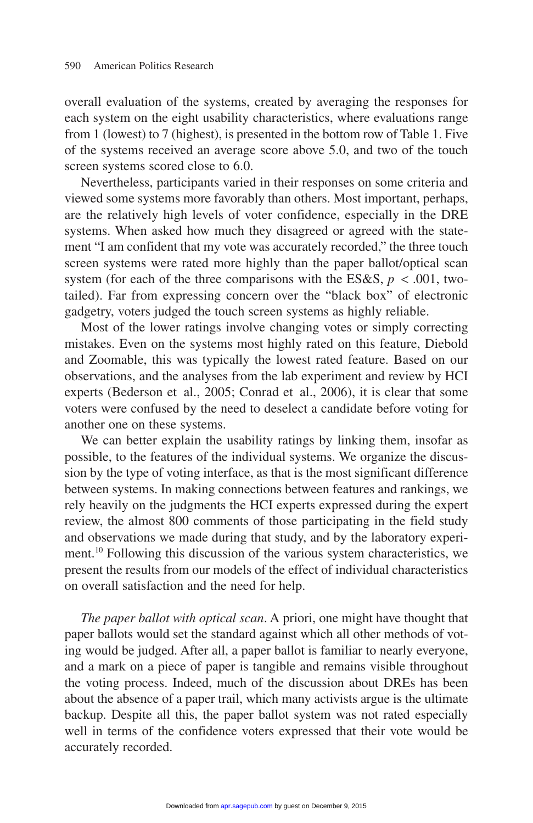overall evaluation of the systems, created by averaging the responses for each system on the eight usability characteristics, where evaluations range from 1 (lowest) to 7 (highest), is presented in the bottom row of Table 1. Five of the systems received an average score above 5.0, and two of the touch screen systems scored close to 6.0.

Nevertheless, participants varied in their responses on some criteria and viewed some systems more favorably than others. Most important, perhaps, are the relatively high levels of voter confidence, especially in the DRE systems. When asked how much they disagreed or agreed with the statement "I am confident that my vote was accurately recorded," the three touch screen systems were rated more highly than the paper ballot/optical scan system (for each of the three comparisons with the ES&S,  $p < .001$ , twotailed). Far from expressing concern over the "black box" of electronic gadgetry, voters judged the touch screen systems as highly reliable.

Most of the lower ratings involve changing votes or simply correcting mistakes. Even on the systems most highly rated on this feature, Diebold and Zoomable, this was typically the lowest rated feature. Based on our observations, and the analyses from the lab experiment and review by HCI experts (Bederson et al., 2005; Conrad et al., 2006), it is clear that some voters were confused by the need to deselect a candidate before voting for another one on these systems.

We can better explain the usability ratings by linking them, insofar as possible, to the features of the individual systems. We organize the discussion by the type of voting interface, as that is the most significant difference between systems. In making connections between features and rankings, we rely heavily on the judgments the HCI experts expressed during the expert review, the almost 800 comments of those participating in the field study and observations we made during that study, and by the laboratory experiment.10 Following this discussion of the various system characteristics, we present the results from our models of the effect of individual characteristics on overall satisfaction and the need for help.

*The paper ballot with optical scan*. A priori, one might have thought that paper ballots would set the standard against which all other methods of voting would be judged. After all, a paper ballot is familiar to nearly everyone, and a mark on a piece of paper is tangible and remains visible throughout the voting process. Indeed, much of the discussion about DREs has been about the absence of a paper trail, which many activists argue is the ultimate backup. Despite all this, the paper ballot system was not rated especially well in terms of the confidence voters expressed that their vote would be accurately recorded.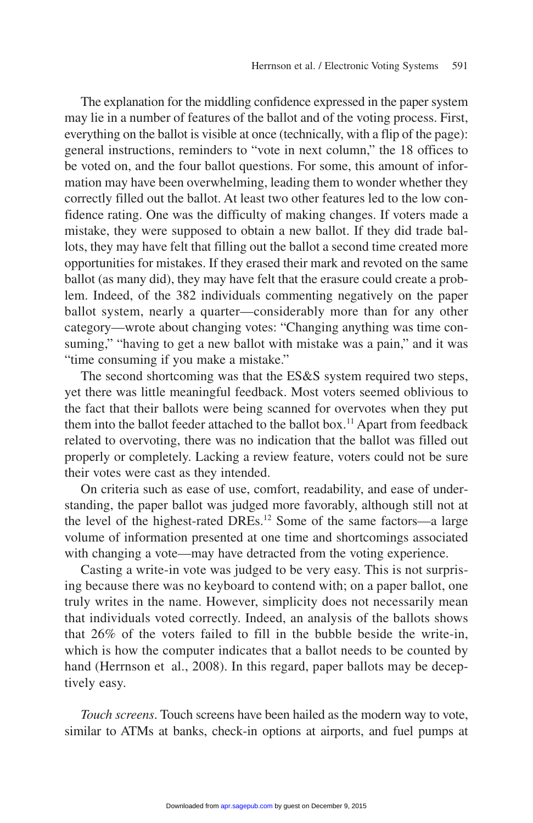The explanation for the middling confidence expressed in the paper system may lie in a number of features of the ballot and of the voting process. First, everything on the ballot is visible at once (technically, with a flip of the page): general instructions, reminders to "vote in next column," the 18 offices to be voted on, and the four ballot questions. For some, this amount of information may have been overwhelming, leading them to wonder whether they correctly filled out the ballot. At least two other features led to the low confidence rating. One was the difficulty of making changes. If voters made a mistake, they were supposed to obtain a new ballot. If they did trade ballots, they may have felt that filling out the ballot a second time created more opportunities for mistakes. If they erased their mark and revoted on the same ballot (as many did), they may have felt that the erasure could create a problem. Indeed, of the 382 individuals commenting negatively on the paper ballot system, nearly a quarter—considerably more than for any other category—wrote about changing votes: "Changing anything was time consuming," "having to get a new ballot with mistake was a pain," and it was "time consuming if you make a mistake."

The second shortcoming was that the ES&S system required two steps, yet there was little meaningful feedback. Most voters seemed oblivious to the fact that their ballots were being scanned for overvotes when they put them into the ballot feeder attached to the ballot box.<sup>11</sup> Apart from feedback related to overvoting, there was no indication that the ballot was filled out properly or completely. Lacking a review feature, voters could not be sure their votes were cast as they intended.

On criteria such as ease of use, comfort, readability, and ease of understanding, the paper ballot was judged more favorably, although still not at the level of the highest-rated DREs.<sup>12</sup> Some of the same factors—a large volume of information presented at one time and shortcomings associated with changing a vote—may have detracted from the voting experience.

Casting a write-in vote was judged to be very easy. This is not surprising because there was no keyboard to contend with; on a paper ballot, one truly writes in the name. However, simplicity does not necessarily mean that individuals voted correctly. Indeed, an analysis of the ballots shows that 26% of the voters failed to fill in the bubble beside the write-in, which is how the computer indicates that a ballot needs to be counted by hand (Herrnson et al., 2008). In this regard, paper ballots may be deceptively easy.

*Touch screens*. Touch screens have been hailed as the modern way to vote, similar to ATMs at banks, check-in options at airports, and fuel pumps at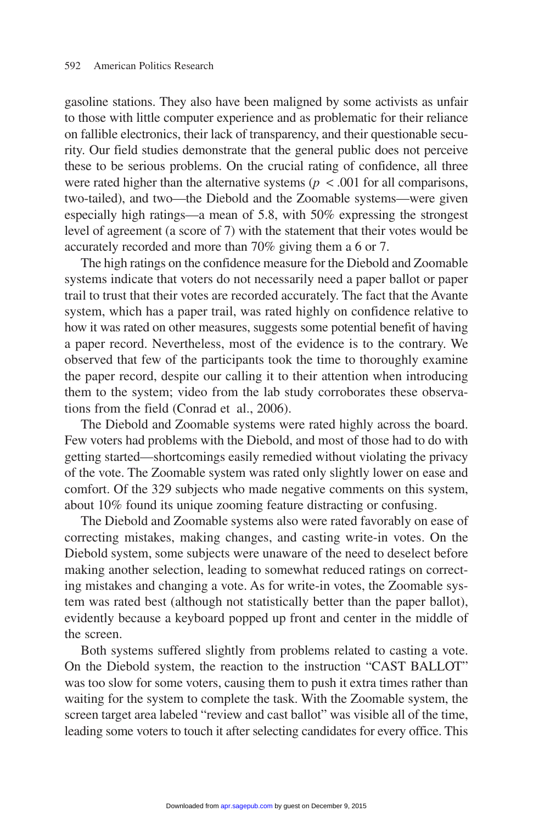gasoline stations. They also have been maligned by some activists as unfair to those with little computer experience and as problematic for their reliance on fallible electronics, their lack of transparency, and their questionable security. Our field studies demonstrate that the general public does not perceive these to be serious problems. On the crucial rating of confidence, all three were rated higher than the alternative systems  $(p < .001$  for all comparisons, two-tailed), and two—the Diebold and the Zoomable systems—were given especially high ratings—a mean of 5.8, with 50% expressing the strongest level of agreement (a score of 7) with the statement that their votes would be accurately recorded and more than 70% giving them a 6 or 7.

The high ratings on the confidence measure for the Diebold and Zoomable systems indicate that voters do not necessarily need a paper ballot or paper trail to trust that their votes are recorded accurately. The fact that the Avante system, which has a paper trail, was rated highly on confidence relative to how it was rated on other measures, suggests some potential benefit of having a paper record. Nevertheless, most of the evidence is to the contrary. We observed that few of the participants took the time to thoroughly examine the paper record, despite our calling it to their attention when introducing them to the system; video from the lab study corroborates these observations from the field (Conrad et al., 2006).

The Diebold and Zoomable systems were rated highly across the board. Few voters had problems with the Diebold, and most of those had to do with getting started—shortcomings easily remedied without violating the privacy of the vote. The Zoomable system was rated only slightly lower on ease and comfort. Of the 329 subjects who made negative comments on this system, about 10% found its unique zooming feature distracting or confusing.

The Diebold and Zoomable systems also were rated favorably on ease of correcting mistakes, making changes, and casting write-in votes. On the Diebold system, some subjects were unaware of the need to deselect before making another selection, leading to somewhat reduced ratings on correcting mistakes and changing a vote. As for write-in votes, the Zoomable system was rated best (although not statistically better than the paper ballot), evidently because a keyboard popped up front and center in the middle of the screen.

Both systems suffered slightly from problems related to casting a vote. On the Diebold system, the reaction to the instruction "CAST BALLOT" was too slow for some voters, causing them to push it extra times rather than waiting for the system to complete the task. With the Zoomable system, the screen target area labeled "review and cast ballot" was visible all of the time, leading some voters to touch it after selecting candidates for every office. This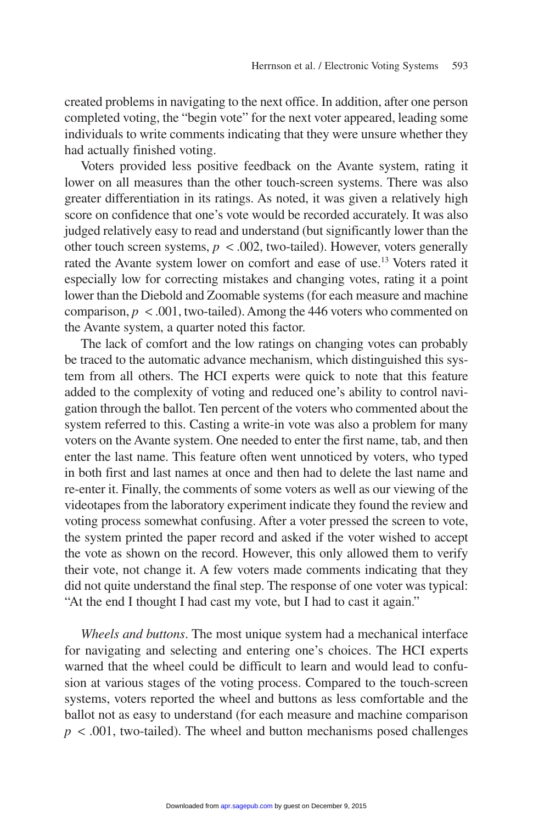created problems in navigating to the next office. In addition, after one person completed voting, the "begin vote" for the next voter appeared, leading some individuals to write comments indicating that they were unsure whether they had actually finished voting.

Voters provided less positive feedback on the Avante system, rating it lower on all measures than the other touch-screen systems. There was also greater differentiation in its ratings. As noted, it was given a relatively high score on confidence that one's vote would be recorded accurately. It was also judged relatively easy to read and understand (but significantly lower than the other touch screen systems,  $p < .002$ , two-tailed). However, voters generally rated the Avante system lower on comfort and ease of use.13 Voters rated it especially low for correcting mistakes and changing votes, rating it a point lower than the Diebold and Zoomable systems (for each measure and machine comparison,  $p < .001$ , two-tailed). Among the 446 voters who commented on the Avante system, a quarter noted this factor.

The lack of comfort and the low ratings on changing votes can probably be traced to the automatic advance mechanism, which distinguished this system from all others. The HCI experts were quick to note that this feature added to the complexity of voting and reduced one's ability to control navigation through the ballot. Ten percent of the voters who commented about the system referred to this. Casting a write-in vote was also a problem for many voters on the Avante system. One needed to enter the first name, tab, and then enter the last name. This feature often went unnoticed by voters, who typed in both first and last names at once and then had to delete the last name and re-enter it. Finally, the comments of some voters as well as our viewing of the videotapes from the laboratory experiment indicate they found the review and voting process somewhat confusing. After a voter pressed the screen to vote, the system printed the paper record and asked if the voter wished to accept the vote as shown on the record. However, this only allowed them to verify their vote, not change it. A few voters made comments indicating that they did not quite understand the final step. The response of one voter was typical: "At the end I thought I had cast my vote, but I had to cast it again."

*Wheels and buttons*. The most unique system had a mechanical interface for navigating and selecting and entering one's choices. The HCI experts warned that the wheel could be difficult to learn and would lead to confusion at various stages of the voting process. Compared to the touch-screen systems, voters reported the wheel and buttons as less comfortable and the ballot not as easy to understand (for each measure and machine comparison  $p < .001$ , two-tailed). The wheel and button mechanisms posed challenges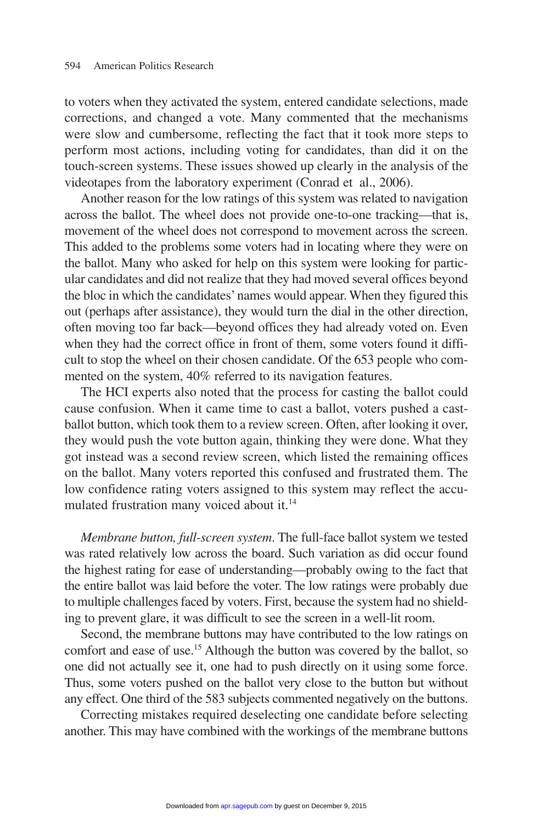to voters when they activated the system, entered candidate selections, made corrections, and changed a vote. Many commented that the mechanisms were slow and cumbersome, reflecting the fact that it took more steps to perform most actions, including voting for candidates, than did it on the touch-screen systems. These issues showed up clearly in the analysis of the videotapes from the laboratory experiment (Conrad et al., 2006).

Another reason for the low ratings of this system was related to navigation across the ballot. The wheel does not provide one-to-one tracking—that is, movement of the wheel does not correspond to movement across the screen. This added to the problems some voters had in locating where they were on the ballot. Many who asked for help on this system were looking for particular candidates and did not realize that they had moved several offices beyond the bloc in which the candidates'names would appear. When they figured this out (perhaps after assistance), they would turn the dial in the other direction, often moving too far back—beyond offices they had already voted on. Even when they had the correct office in front of them, some voters found it difficult to stop the wheel on their chosen candidate. Of the 653 people who commented on the system, 40% referred to its navigation features.

The HCI experts also noted that the process for casting the ballot could cause confusion. When it came time to cast a ballot, voters pushed a castballot button, which took them to a review screen. Often, after looking it over, they would push the vote button again, thinking they were done. What they got instead was a second review screen, which listed the remaining offices on the ballot. Many voters reported this confused and frustrated them. The low confidence rating voters assigned to this system may reflect the accumulated frustration many voiced about it.<sup>14</sup>

*Membrane button, full-screen system*. The full-face ballot system we tested was rated relatively low across the board. Such variation as did occur found the highest rating for ease of understanding—probably owing to the fact that the entire ballot was laid before the voter. The low ratings were probably due to multiple challenges faced by voters. First, because the system had no shielding to prevent glare, it was difficult to see the screen in a well-lit room.

Second, the membrane buttons may have contributed to the low ratings on comfort and ease of use.15 Although the button was covered by the ballot, so one did not actually see it, one had to push directly on it using some force. Thus, some voters pushed on the ballot very close to the button but without any effect. One third of the 583 subjects commented negatively on the buttons.

Correcting mistakes required deselecting one candidate before selecting another. This may have combined with the workings of the membrane buttons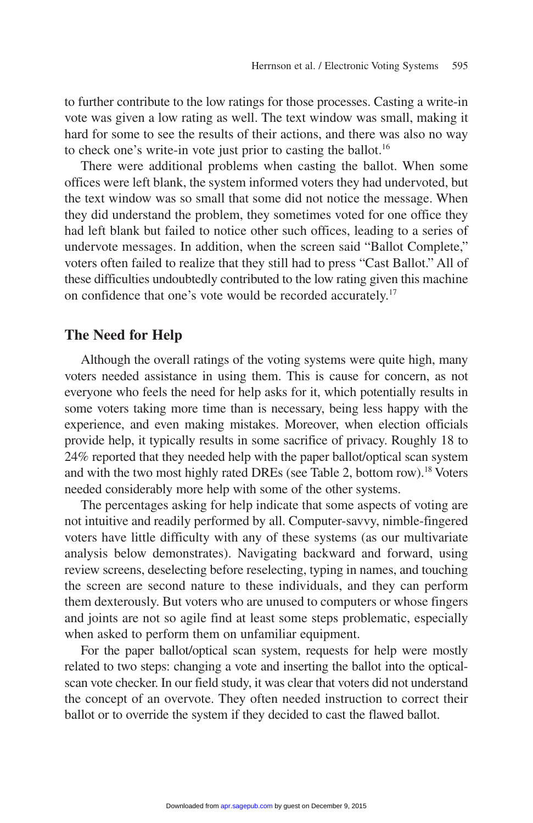to further contribute to the low ratings for those processes. Casting a write-in vote was given a low rating as well. The text window was small, making it hard for some to see the results of their actions, and there was also no way to check one's write-in vote just prior to casting the ballot.<sup>16</sup>

There were additional problems when casting the ballot. When some offices were left blank, the system informed voters they had undervoted, but the text window was so small that some did not notice the message. When they did understand the problem, they sometimes voted for one office they had left blank but failed to notice other such offices, leading to a series of undervote messages. In addition, when the screen said "Ballot Complete," voters often failed to realize that they still had to press "Cast Ballot." All of these difficulties undoubtedly contributed to the low rating given this machine on confidence that one's vote would be recorded accurately.17

#### **The Need for Help**

Although the overall ratings of the voting systems were quite high, many voters needed assistance in using them. This is cause for concern, as not everyone who feels the need for help asks for it, which potentially results in some voters taking more time than is necessary, being less happy with the experience, and even making mistakes. Moreover, when election officials provide help, it typically results in some sacrifice of privacy. Roughly 18 to 24% reported that they needed help with the paper ballot/optical scan system and with the two most highly rated DREs (see Table 2, bottom row).18 Voters needed considerably more help with some of the other systems.

The percentages asking for help indicate that some aspects of voting are not intuitive and readily performed by all. Computer-savvy, nimble-fingered voters have little difficulty with any of these systems (as our multivariate analysis below demonstrates). Navigating backward and forward, using review screens, deselecting before reselecting, typing in names, and touching the screen are second nature to these individuals, and they can perform them dexterously. But voters who are unused to computers or whose fingers and joints are not so agile find at least some steps problematic, especially when asked to perform them on unfamiliar equipment.

For the paper ballot/optical scan system, requests for help were mostly related to two steps: changing a vote and inserting the ballot into the opticalscan vote checker. In our field study, it was clear that voters did not understand the concept of an overvote. They often needed instruction to correct their ballot or to override the system if they decided to cast the flawed ballot.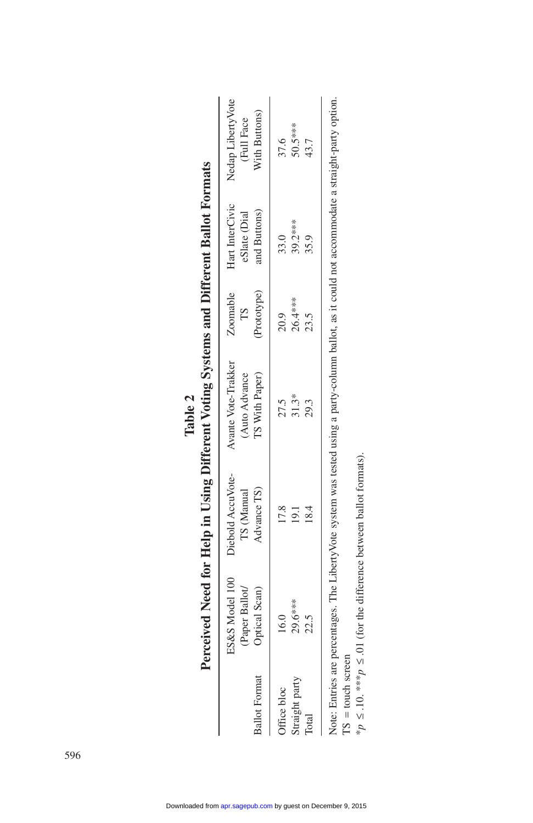|                                        |                                                   |                                                                             | rerceived integral in theip in Using Diliterent volting Systems and Diliterent ballot Formals                                                      |                                    |                                                 |                                                   |
|----------------------------------------|---------------------------------------------------|-----------------------------------------------------------------------------|----------------------------------------------------------------------------------------------------------------------------------------------------|------------------------------------|-------------------------------------------------|---------------------------------------------------|
| <b>Ballot Format</b>                   | ES&S Model 100<br>(Paper Ballot/<br>Optical Scan) | Diebold AccuVote-<br>Advance TS)<br>TS (Manual                              | Avante Vote-Trakker<br>TS With Paper)<br>(Auto Advance                                                                                             | Zoomable<br>(Prototype)<br>$^{15}$ | Hart InterCivic<br>and Buttons)<br>eSlate (Dial | Nedap Liberty Vote<br>With Buttons)<br>(Full Face |
| Straight party<br>Office bloc<br>Total | 29.6***<br>16.0<br>22.5                           | 17.8<br>8.4                                                                 | 31.3*<br>27.5<br>29.3                                                                                                                              | 26.4***<br>20.9<br>23.5            | 39.2***<br>33.0<br>35.9                         | 50.5***<br>37.6<br>43.7                           |
| $TS = touch screen$                    |                                                   | *p $\leq$ .10. ***p $\leq$ .01 (for the difference between ballot formats). | Note: Entries are percentages. The LibertyVote system was tested using a party-column ballot, as it could not accommodate a straight-party option. |                                    |                                                 |                                                   |

| <b>Tale in Heim</b><br>l |
|--------------------------|
|--------------------------|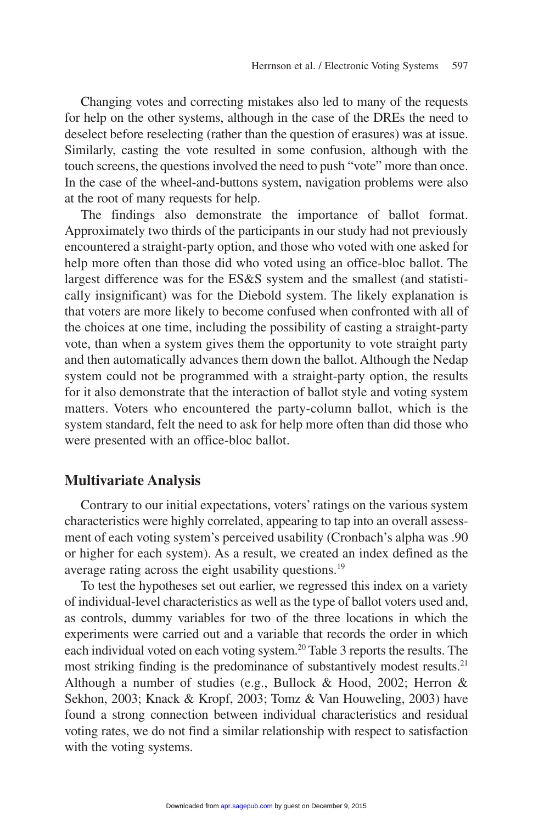Changing votes and correcting mistakes also led to many of the requests for help on the other systems, although in the case of the DREs the need to deselect before reselecting (rather than the question of erasures) was at issue. Similarly, casting the vote resulted in some confusion, although with the touch screens, the questions involved the need to push "vote" more than once. In the case of the wheel-and-buttons system, navigation problems were also at the root of many requests for help.

The findings also demonstrate the importance of ballot format. Approximately two thirds of the participants in our study had not previously encountered a straight-party option, and those who voted with one asked for help more often than those did who voted using an office-bloc ballot. The largest difference was for the ES&S system and the smallest (and statistically insignificant) was for the Diebold system. The likely explanation is that voters are more likely to become confused when confronted with all of the choices at one time, including the possibility of casting a straight-party vote, than when a system gives them the opportunity to vote straight party and then automatically advances them down the ballot. Although the Nedap system could not be programmed with a straight-party option, the results for it also demonstrate that the interaction of ballot style and voting system matters. Voters who encountered the party-column ballot, which is the system standard, felt the need to ask for help more often than did those who were presented with an office-bloc ballot.

#### **Multivariate Analysis**

Contrary to our initial expectations, voters' ratings on the various system characteristics were highly correlated, appearing to tap into an overall assessment of each voting system's perceived usability (Cronbach's alpha was .90 or higher for each system). As a result, we created an index defined as the average rating across the eight usability questions.<sup>19</sup>

To test the hypotheses set out earlier, we regressed this index on a variety of individual-level characteristics as well as the type of ballot voters used and, as controls, dummy variables for two of the three locations in which the experiments were carried out and a variable that records the order in which each individual voted on each voting system.20 Table 3 reports the results. The most striking finding is the predominance of substantively modest results.<sup>21</sup> Although a number of studies (e.g., Bullock & Hood, 2002; Herron & Sekhon, 2003; Knack & Kropf, 2003; Tomz & Van Houweling, 2003) have found a strong connection between individual characteristics and residual voting rates, we do not find a similar relationship with respect to satisfaction with the voting systems.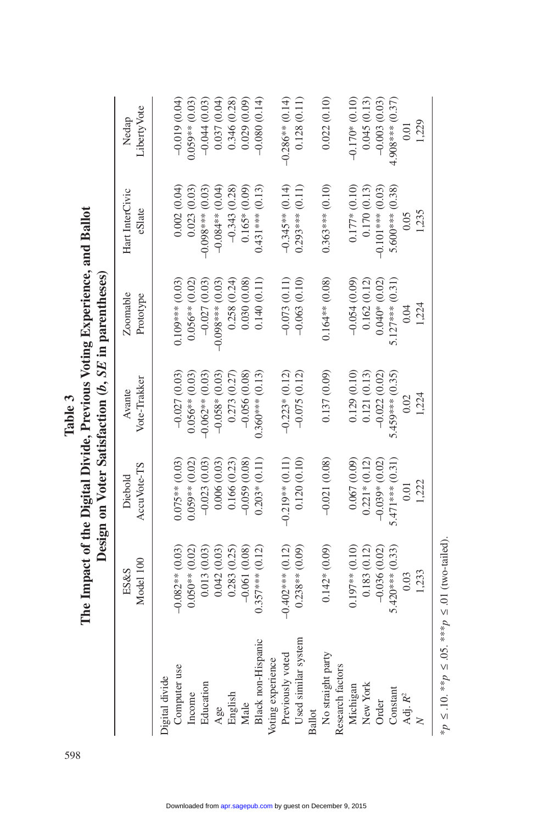|                     |                    | Design on Voter Satisfaction $(b, SE$ in parentheses) |                        |                       |                           |                      |
|---------------------|--------------------|-------------------------------------------------------|------------------------|-----------------------|---------------------------|----------------------|
|                     | Model 100<br>ES&S  | AccuVote-TS<br>Diebold                                | Vote-Trakker<br>Avante | Zoomable<br>Prototype | Hart InterCivic<br>eSlate | LibertyVote<br>Nedap |
| Digital divide      |                    |                                                       |                        |                       |                           |                      |
| Computer use        | $-0.082**$ (0.03)  | $0.075**$ (0.03)                                      | $-0.027(0.03)$         | $0.109***$ (0.03)     | 0.002(0.04)               | $-0.019(0.04)$       |
| Income              | $0.050**$ (0.02)   | $0.059**$ (0.02)                                      | $0.056**$ (0.03)       | $0.056**00.02$        | 0.023(0.03)               | $0.059**$ (0.03)     |
| Education           | 0.013(0.03)        | $-0.023(0.03)$                                        | $-0.062**$ (0.03)      | $-0.027(0.03)$        | $-0.098***$ (0.03         | $-0.044(0.03)$       |
| Age                 | 0.042(0.03)        | 0.006(0.03)                                           | $-0.058*(0.03)$        | $-0.098***$ (0.03)    | $-0.084**$ (0.04)         | 0.037(0.04)          |
| English             | 0.283(0.25)        | 0.166(0.23)                                           | 0.273 (0.27)           | 0.258(0.24)           | $-0.343(0.28)$            | 0.346(0.28)          |
| Male                | $-0.061(0.08)$     | $-0.059(0.08)$                                        | $-0.056(0.08)$         | 0.030(0.08)           | $0.165*(0.09)$            | 0.029(0.09)          |
| Black non-Hispanic  | $0.357***$ (0.12)  | $0.203*(0.11)$                                        | $0.360***$ (0.13)      | 0.140(0.11)           | $0.431***$ (0.13)         | $-0.080(0.14)$       |
| Voting experience   |                    |                                                       |                        |                       |                           |                      |
| Previously voted    | $-0.402***$ (0.12) | $-0.219**$ (0.11)                                     | $-0.223*(0.12)$        | $-0.073(0.11)$        | $-0.345**$ (0.14)         | $-0.286**$ (0.14)    |
| Used similar system | $0.238**$ (0.09)   | 0.120(0.10)                                           | $-0.075(0.12)$         | $-0.063(0.10)$        | $0.293***$ (0.11)         | 0.128(0.11)          |
| <b>Ballot</b>       |                    |                                                       |                        |                       |                           |                      |
| No straight party   | $0.142*(0.09)$     | $-0.021(0.08)$                                        | 0.137(0.09)            | $0.164**$ (0.08)      | $0.363***$ (0.10)         | 0.022(0.10)          |
| Research factors    |                    |                                                       |                        |                       |                           |                      |
| Michigan            | $0.197**0.10$      | 0.067(0.09)                                           | 0.129(0.10)            | $-0.054(0.09)$        | $0.177*(0.10)$            | $-0.170*(0.10)$      |
| New York            | 0.183(0.12)        | $0.221*(0.12)$                                        | 0.121(0.13)            | 0.162(0.12)           | 0.170(0.13)               | 0.045(0.13)          |
| Order               | $-0.036(0.02)$     | $-0.039*$ (0.02)                                      | $-0.022(0.02)$         | $0.040*(0.02)$        | $-0.101***$ (0.03)        | $-0.003(0.03)$       |
| Constant            | $5.420***$ (0.33)  | $5.471***$ (0.31)                                     | $5.459***$ (0.35)      | $5.127***$ (0.31)     | $5.600***$ (0.38)         | $4.908***$ (0.37)    |
| Adj. $R^2$          | 0.03               | 0.01                                                  | 0.02                   | 0.04                  | 0.05                      | 0.01                 |
|                     | 1,233              | 1,222                                                 | 1,224                  | 1,224                 | 1,235                     | 1,229                |

The Impact of the Digital Divide, Previous Voting Experience, and Ballot **The Impact of the Digital Divide, Previous Voting Experience, and Ballot**  Table 3 598**Table 3**

\* $p \le 10$ . \*\* $p \le 0.05$ . \*\*\* $p \le 01$  (two-tailed). \**p* ≤ .10. \*\**p* ≤ .05. \*\*\**p* ≤ .01 (two-tailed).

598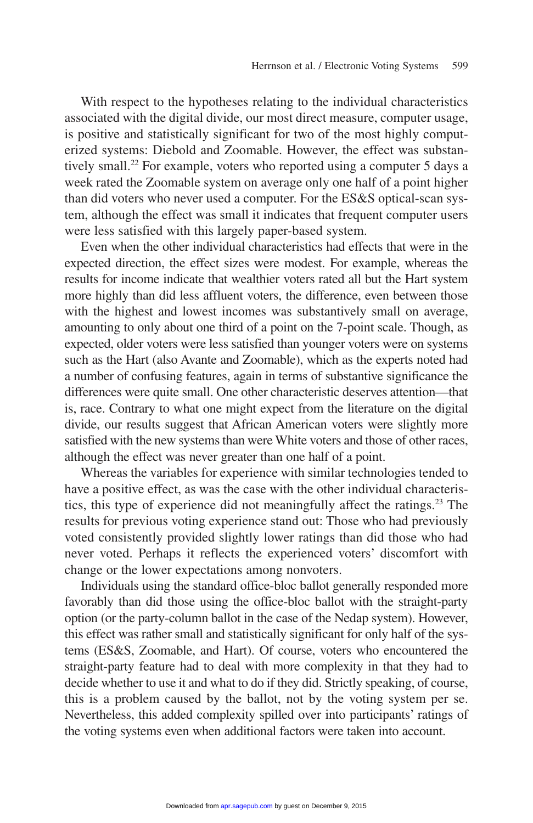With respect to the hypotheses relating to the individual characteristics associated with the digital divide, our most direct measure, computer usage, is positive and statistically significant for two of the most highly computerized systems: Diebold and Zoomable. However, the effect was substantively small.<sup>22</sup> For example, voters who reported using a computer 5 days a week rated the Zoomable system on average only one half of a point higher than did voters who never used a computer. For the ES&S optical-scan system, although the effect was small it indicates that frequent computer users were less satisfied with this largely paper-based system.

Even when the other individual characteristics had effects that were in the expected direction, the effect sizes were modest. For example, whereas the results for income indicate that wealthier voters rated all but the Hart system more highly than did less affluent voters, the difference, even between those with the highest and lowest incomes was substantively small on average, amounting to only about one third of a point on the 7-point scale. Though, as expected, older voters were less satisfied than younger voters were on systems such as the Hart (also Avante and Zoomable), which as the experts noted had a number of confusing features, again in terms of substantive significance the differences were quite small. One other characteristic deserves attention—that is, race. Contrary to what one might expect from the literature on the digital divide, our results suggest that African American voters were slightly more satisfied with the new systems than were White voters and those of other races, although the effect was never greater than one half of a point.

Whereas the variables for experience with similar technologies tended to have a positive effect, as was the case with the other individual characteristics, this type of experience did not meaningfully affect the ratings.<sup>23</sup> The results for previous voting experience stand out: Those who had previously voted consistently provided slightly lower ratings than did those who had never voted. Perhaps it reflects the experienced voters' discomfort with change or the lower expectations among nonvoters.

Individuals using the standard office-bloc ballot generally responded more favorably than did those using the office-bloc ballot with the straight-party option (or the party-column ballot in the case of the Nedap system). However, this effect was rather small and statistically significant for only half of the systems (ES&S, Zoomable, and Hart). Of course, voters who encountered the straight-party feature had to deal with more complexity in that they had to decide whether to use it and what to do if they did. Strictly speaking, of course, this is a problem caused by the ballot, not by the voting system per se. Nevertheless, this added complexity spilled over into participants' ratings of the voting systems even when additional factors were taken into account.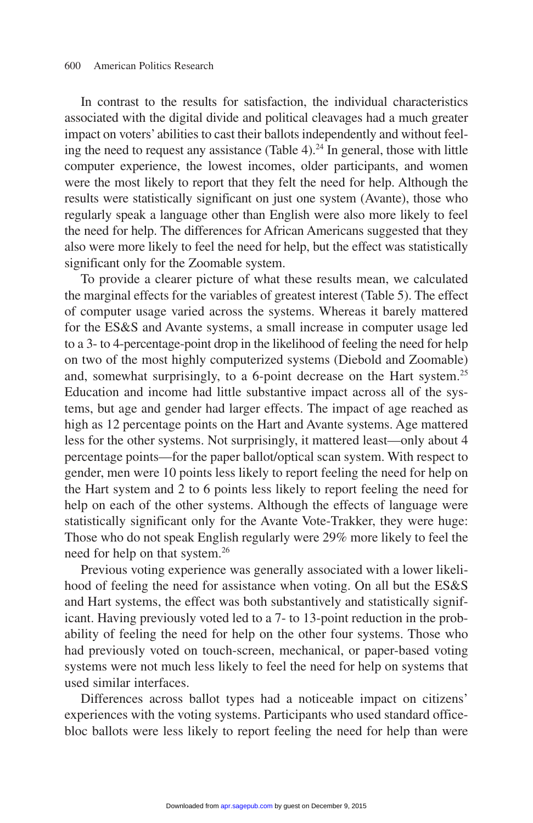In contrast to the results for satisfaction, the individual characteristics associated with the digital divide and political cleavages had a much greater impact on voters'abilities to cast their ballots independently and without feeling the need to request any assistance (Table 4).<sup>24</sup> In general, those with little computer experience, the lowest incomes, older participants, and women were the most likely to report that they felt the need for help. Although the results were statistically significant on just one system (Avante), those who regularly speak a language other than English were also more likely to feel the need for help. The differences for African Americans suggested that they also were more likely to feel the need for help, but the effect was statistically significant only for the Zoomable system.

To provide a clearer picture of what these results mean, we calculated the marginal effects for the variables of greatest interest (Table 5). The effect of computer usage varied across the systems. Whereas it barely mattered for the ES&S and Avante systems, a small increase in computer usage led to a 3- to 4-percentage-point drop in the likelihood of feeling the need for help on two of the most highly computerized systems (Diebold and Zoomable) and, somewhat surprisingly, to a 6-point decrease on the Hart system.<sup>25</sup> Education and income had little substantive impact across all of the systems, but age and gender had larger effects. The impact of age reached as high as 12 percentage points on the Hart and Avante systems. Age mattered less for the other systems. Not surprisingly, it mattered least—only about 4 percentage points—for the paper ballot/optical scan system. With respect to gender, men were 10 points less likely to report feeling the need for help on the Hart system and 2 to 6 points less likely to report feeling the need for help on each of the other systems. Although the effects of language were statistically significant only for the Avante Vote-Trakker, they were huge: Those who do not speak English regularly were 29% more likely to feel the need for help on that system.26

Previous voting experience was generally associated with a lower likelihood of feeling the need for assistance when voting. On all but the ES&S and Hart systems, the effect was both substantively and statistically significant. Having previously voted led to a 7- to 13-point reduction in the probability of feeling the need for help on the other four systems. Those who had previously voted on touch-screen, mechanical, or paper-based voting systems were not much less likely to feel the need for help on systems that used similar interfaces.

Differences across ballot types had a noticeable impact on citizens' experiences with the voting systems. Participants who used standard officebloc ballots were less likely to report feeling the need for help than were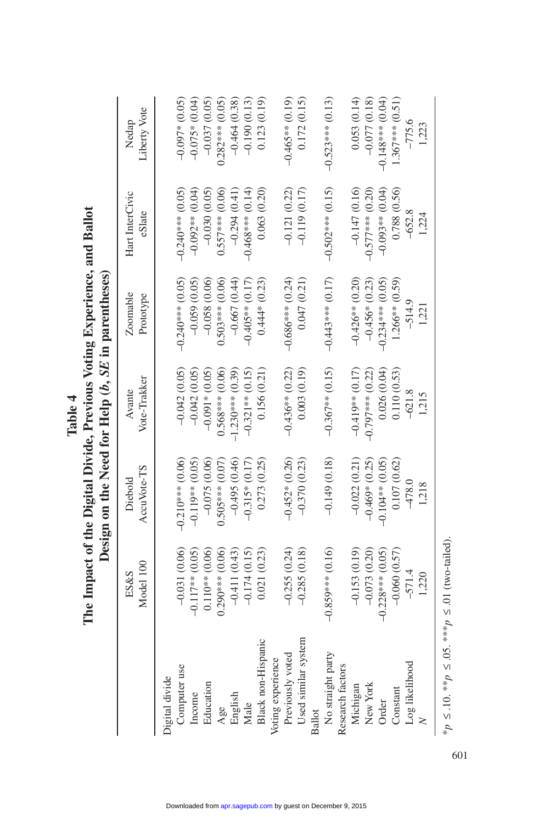|                     |                    | Design on the Need for Help (b, SE in parentheses) |                        |                       |                           |                       |
|---------------------|--------------------|----------------------------------------------------|------------------------|-----------------------|---------------------------|-----------------------|
|                     | Model 100<br>ES&S  | AccuVote-TS<br>Diebold                             | Vote-Trakker<br>Avante | Zoomable<br>Prototype | Hart InterCivic<br>eSlate | Liberty Vote<br>Nedap |
| Digital divide      |                    |                                                    |                        |                       |                           |                       |
| Computer use        | $-0.031(0.06)$     | $-0.210***$ (0.06)                                 | $-0.042(0.05)$         | $-0.240***$ (0.05)    | $-0.240***$ (0.05)        | $-0.097*00.05$        |
| Income              | $-0.117**$ (0.05)  | $-0.119**$ (0.05)                                  | $-0.042(0.05)$         | $-0.059(0.05)$        | $-0.092**$ (0.04)         | $-0.075*(0.04)$       |
| Education           | $0.110**$ (0.06)   | $-0.075(0.06)$                                     | $-0.091*00.05$         | $-0.058(0.06)$        | $-0.030(0.05)$            | $-0.037(0.05)$        |
| Age                 | $0.290***$ (0.06)  | $0.505***$ (0.07)                                  | $0.568***$ (0.06)      | $0.503***$ (0.06)     | $0.557***$ (0.06)         | $0.282***$ (0.05)     |
| English             | $-0.411(0.43)$     | $-0.495(0.46)$                                     | $-1.230***$ (0.39)     | $-0.667(0.44)$        | $-0.294(0.41)$            | $-0.464(0.38)$        |
| Male                | $-0.174(0.15)$     | $-0.315*(0.17)$                                    | $-0.321**$ (0.15)      | $-0.405**$ (0.17)     | $-0.468***$ (0.14)        | $-0.190(0.13)$        |
| Black non-Hispanic  | 0.021(0.23)        | 0.273(0.25)                                        | 0.156(0.21)            | $0.444*(0.23)$        | 0.063(0.20)               | 0.123(0.19)           |
| Voting experience   |                    |                                                    |                        |                       |                           |                       |
| Previously voted    | $-0.255(0.24)$     | $-0.452*(0.26)$                                    | $-0.436**$ (0.22)      | $-0.686***(0.24)$     | $-0.121(0.22)$            | $-0.465**$ (0.19)     |
| Used similar system | $-0.285(0.18)$     | $-0.370(0.23)$                                     | (0.003(0.19))          | 0.047(0.21)           | $-0.119(0.17)$            | 0.172(0.15)           |
| Ballo               |                    |                                                    |                        |                       |                           |                       |
| No straight party   | $-0.859***$ (0.16) | $-0.149(0.18)$                                     | $-0.367**$ (0.15)      | $-0.443***$ (0.17)    | $-0.502***$ (0.15)        | $-0.523***$ (0.13)    |
| Research factors    |                    |                                                    |                        |                       |                           |                       |
| Michigar            | $-0.153(0.19)$     | $-0.022(0.21)$                                     | $-0.419**$ (0.17)      | $-0.426**$ (0.20)     | $-0.147(0.16)$            | 0.053(0.14)           |
| New York            | $-0.073(0.20)$     | $-0.469*(0.25)$                                    | $-0.797***$ (0.22)     | $-0.456*(0.23)$       | $-0.577***$ (0.20)        | $-0.077(0.18)$        |
| Order               | $-0.228***$ (0.05) | $-0.104**$ (0.05)                                  | 0.026(0.04)            | $-0.234***$ (0.05     | $-0.093**$ (0.04)         | $-0.148***$ (0.04)    |
| Constant            | $-0.060(0.57)$     | 0.107(0.62)                                        | 0.110(0.53)            | $1.266**$ (0.59)      | 0.788 (0.56)              | $1.367***$ (0.51)     |
| Log likelihood      | $-571.4$           | $-478.0$                                           | $-621.8$               | $-514.9$              | $-652.8$                  | $-775.6$              |
|                     | 1,220              | 1,218                                              | 1,215                  | 1,221                 | 1,224                     | 1,223                 |

# The Impact of the Digital Divide, Previous Voting Experience, and Ballot Deciments on the Need for Help  $(h \times F)$  in paramheese. **The Impact of the Digital Divide, Previous Voting Experience, and Ballot**  *b***,** *SE* **in parentheses) Table 4 Design on the Need for Help (**

 $*_{p} \le .10.**_{p} \le .05.***_{p} \le .01$  (two-tailed). \**p* ≤ .10. \*\**p* ≤ .05. \*\*\**p* ≤ .01 (two-tailed).

601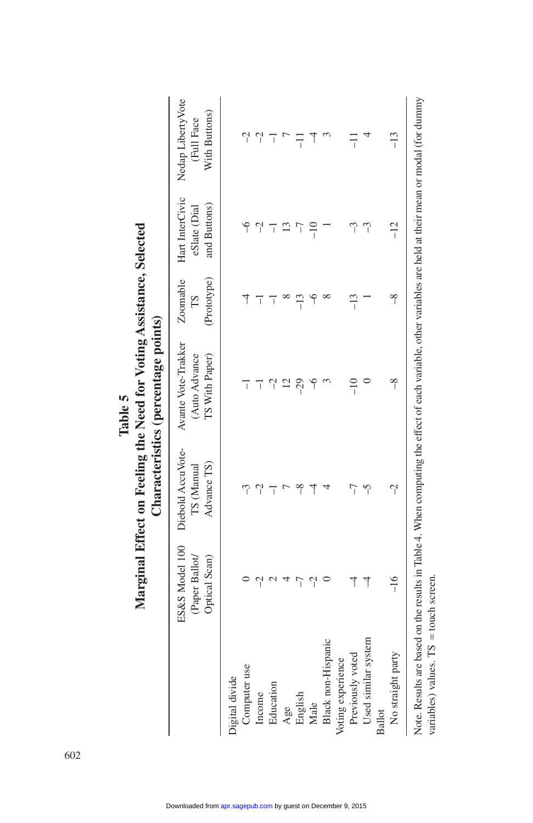|                                         |                                                              |                                                | Marginal Effect on Feeling the Need for Voting Assistance, Selected<br>Characteristics (percentage points)                                                |                               |                                                        |                                                  |
|-----------------------------------------|--------------------------------------------------------------|------------------------------------------------|-----------------------------------------------------------------------------------------------------------------------------------------------------------|-------------------------------|--------------------------------------------------------|--------------------------------------------------|
|                                         | <b>ES&amp;S Model 100</b><br>(Paper Ballot/<br>Optical Scan) | Diebold AccuVote-<br>Advance TS)<br>TS (Manual | Avante Vote-Trakker<br>(Auto Advance<br>TS With Paper)                                                                                                    | Zoomable<br>(Prototype)<br>LS | Hart InterCivic<br>and Buttons)<br>$e$ Slate ( $D$ ial | Nedap Liberty Vote<br>With Buttons)<br>Full Face |
| Digital divide                          |                                                              |                                                |                                                                                                                                                           |                               |                                                        |                                                  |
| Computer use                            |                                                              |                                                | ī                                                                                                                                                         |                               | ۴                                                      |                                                  |
| Income                                  |                                                              | $\gamma$                                       | ī                                                                                                                                                         | ī                             | $\gamma$                                               | $\gamma$                                         |
| Education                               |                                                              | ī                                              |                                                                                                                                                           |                               | ī                                                      | ī                                                |
| Age                                     |                                                              |                                                |                                                                                                                                                           |                               |                                                        |                                                  |
| English                                 | ĩ                                                            | $\frac{8}{1}$                                  | $-29$                                                                                                                                                     | $-13$                         | Í                                                      | ī                                                |
| Male                                    | $\gamma$                                                     | ₹                                              | ۹                                                                                                                                                         | i                             | $\frac{1}{1}$                                          |                                                  |
| Black non-Hispanic                      |                                                              |                                                |                                                                                                                                                           | $\infty$                      |                                                        |                                                  |
| Voting experience                       |                                                              |                                                |                                                                                                                                                           |                               |                                                        |                                                  |
| Previously voted                        | ₹                                                            | $\overline{7}$                                 | $-10$                                                                                                                                                     | $-13$                         | $\tilde{\mathcal{L}}$                                  | $\overline{a}$                                   |
| Used similar system                     | $\overline{\mathcal{A}}$                                     | $\tilde{c}$                                    |                                                                                                                                                           |                               | $\tilde{c}$                                            |                                                  |
| <b>Ballot</b>                           |                                                              |                                                |                                                                                                                                                           |                               |                                                        |                                                  |
| No straight party                       | $-16$                                                        | $\gamma$                                       | $-8$                                                                                                                                                      | $\frac{8}{1}$                 | $-12$                                                  | $-13$                                            |
| variables) values. $TS =$ touch screen. |                                                              |                                                | Note. Results are based on the results in Table 4. When computing the effect of each variable, other variables are held at their mean or modal (for dummy |                               |                                                        |                                                  |

|                   | ļ.   |
|-------------------|------|
| ı<br><b>Table</b> | Pee. |
|                   |      |
|                   |      |
|                   |      |

602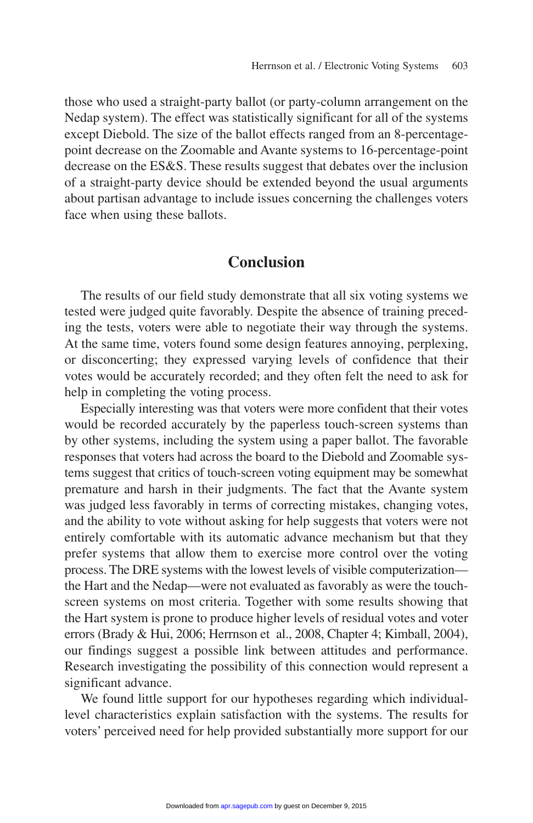those who used a straight-party ballot (or party-column arrangement on the Nedap system). The effect was statistically significant for all of the systems except Diebold. The size of the ballot effects ranged from an 8-percentagepoint decrease on the Zoomable and Avante systems to 16-percentage-point decrease on the ES&S. These results suggest that debates over the inclusion of a straight-party device should be extended beyond the usual arguments about partisan advantage to include issues concerning the challenges voters face when using these ballots.

#### **Conclusion**

The results of our field study demonstrate that all six voting systems we tested were judged quite favorably. Despite the absence of training preceding the tests, voters were able to negotiate their way through the systems. At the same time, voters found some design features annoying, perplexing, or disconcerting; they expressed varying levels of confidence that their votes would be accurately recorded; and they often felt the need to ask for help in completing the voting process.

Especially interesting was that voters were more confident that their votes would be recorded accurately by the paperless touch-screen systems than by other systems, including the system using a paper ballot. The favorable responses that voters had across the board to the Diebold and Zoomable systems suggest that critics of touch-screen voting equipment may be somewhat premature and harsh in their judgments. The fact that the Avante system was judged less favorably in terms of correcting mistakes, changing votes, and the ability to vote without asking for help suggests that voters were not entirely comfortable with its automatic advance mechanism but that they prefer systems that allow them to exercise more control over the voting process. The DRE systems with the lowest levels of visible computerization the Hart and the Nedap—were not evaluated as favorably as were the touchscreen systems on most criteria. Together with some results showing that the Hart system is prone to produce higher levels of residual votes and voter errors (Brady & Hui, 2006; Herrnson et al., 2008, Chapter 4; Kimball, 2004), our findings suggest a possible link between attitudes and performance. Research investigating the possibility of this connection would represent a significant advance.

We found little support for our hypotheses regarding which individuallevel characteristics explain satisfaction with the systems. The results for voters' perceived need for help provided substantially more support for our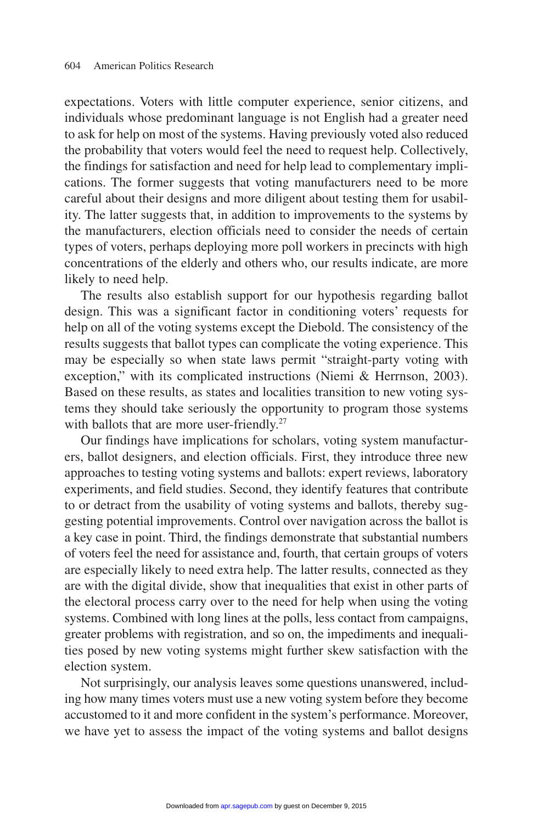expectations. Voters with little computer experience, senior citizens, and individuals whose predominant language is not English had a greater need to ask for help on most of the systems. Having previously voted also reduced the probability that voters would feel the need to request help. Collectively, the findings for satisfaction and need for help lead to complementary implications. The former suggests that voting manufacturers need to be more careful about their designs and more diligent about testing them for usability. The latter suggests that, in addition to improvements to the systems by the manufacturers, election officials need to consider the needs of certain types of voters, perhaps deploying more poll workers in precincts with high concentrations of the elderly and others who, our results indicate, are more likely to need help.

The results also establish support for our hypothesis regarding ballot design. This was a significant factor in conditioning voters' requests for help on all of the voting systems except the Diebold. The consistency of the results suggests that ballot types can complicate the voting experience. This may be especially so when state laws permit "straight-party voting with exception," with its complicated instructions (Niemi & Herrnson, 2003). Based on these results, as states and localities transition to new voting systems they should take seriously the opportunity to program those systems with ballots that are more user-friendly.<sup>27</sup>

Our findings have implications for scholars, voting system manufacturers, ballot designers, and election officials. First, they introduce three new approaches to testing voting systems and ballots: expert reviews, laboratory experiments, and field studies. Second, they identify features that contribute to or detract from the usability of voting systems and ballots, thereby suggesting potential improvements. Control over navigation across the ballot is a key case in point. Third, the findings demonstrate that substantial numbers of voters feel the need for assistance and, fourth, that certain groups of voters are especially likely to need extra help. The latter results, connected as they are with the digital divide, show that inequalities that exist in other parts of the electoral process carry over to the need for help when using the voting systems. Combined with long lines at the polls, less contact from campaigns, greater problems with registration, and so on, the impediments and inequalities posed by new voting systems might further skew satisfaction with the election system.

Not surprisingly, our analysis leaves some questions unanswered, including how many times voters must use a new voting system before they become accustomed to it and more confident in the system's performance. Moreover, we have yet to assess the impact of the voting systems and ballot designs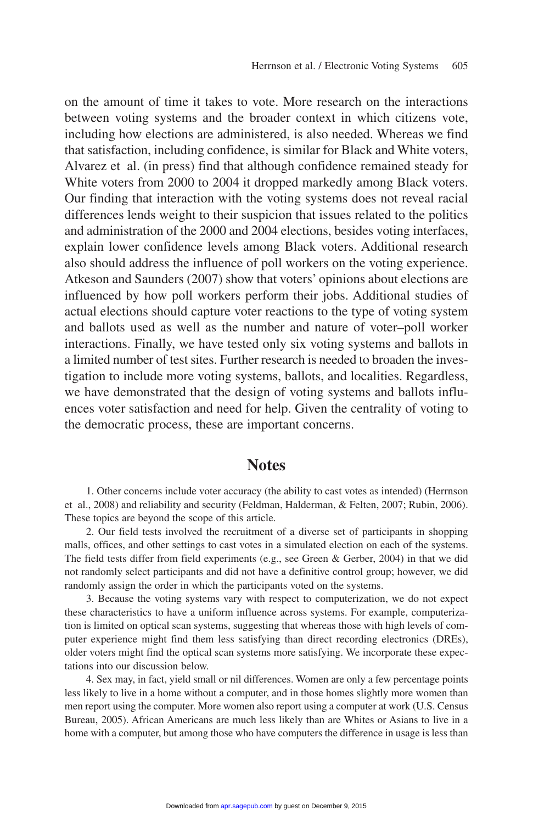on the amount of time it takes to vote. More research on the interactions between voting systems and the broader context in which citizens vote, including how elections are administered, is also needed. Whereas we find that satisfaction, including confidence, is similar for Black and White voters, Alvarez et al. (in press) find that although confidence remained steady for White voters from 2000 to 2004 it dropped markedly among Black voters. Our finding that interaction with the voting systems does not reveal racial differences lends weight to their suspicion that issues related to the politics and administration of the 2000 and 2004 elections, besides voting interfaces, explain lower confidence levels among Black voters. Additional research also should address the influence of poll workers on the voting experience. Atkeson and Saunders (2007) show that voters' opinions about elections are influenced by how poll workers perform their jobs. Additional studies of actual elections should capture voter reactions to the type of voting system and ballots used as well as the number and nature of voter–poll worker interactions. Finally, we have tested only six voting systems and ballots in a limited number of test sites. Further research is needed to broaden the investigation to include more voting systems, ballots, and localities. Regardless, we have demonstrated that the design of voting systems and ballots influences voter satisfaction and need for help. Given the centrality of voting to the democratic process, these are important concerns.

#### **Notes**

1. Other concerns include voter accuracy (the ability to cast votes as intended) (Herrnson et al., 2008) and reliability and security (Feldman, Halderman, & Felten, 2007; Rubin, 2006). These topics are beyond the scope of this article.

2. Our field tests involved the recruitment of a diverse set of participants in shopping malls, offices, and other settings to cast votes in a simulated election on each of the systems. The field tests differ from field experiments (e.g., see Green & Gerber, 2004) in that we did not randomly select participants and did not have a definitive control group; however, we did randomly assign the order in which the participants voted on the systems.

3. Because the voting systems vary with respect to computerization, we do not expect these characteristics to have a uniform influence across systems. For example, computerization is limited on optical scan systems, suggesting that whereas those with high levels of computer experience might find them less satisfying than direct recording electronics (DREs), older voters might find the optical scan systems more satisfying. We incorporate these expectations into our discussion below.

4. Sex may, in fact, yield small or nil differences. Women are only a few percentage points less likely to live in a home without a computer, and in those homes slightly more women than men report using the computer. More women also report using a computer at work (U.S. Census Bureau, 2005). African Americans are much less likely than are Whites or Asians to live in a home with a computer, but among those who have computers the difference in usage is less than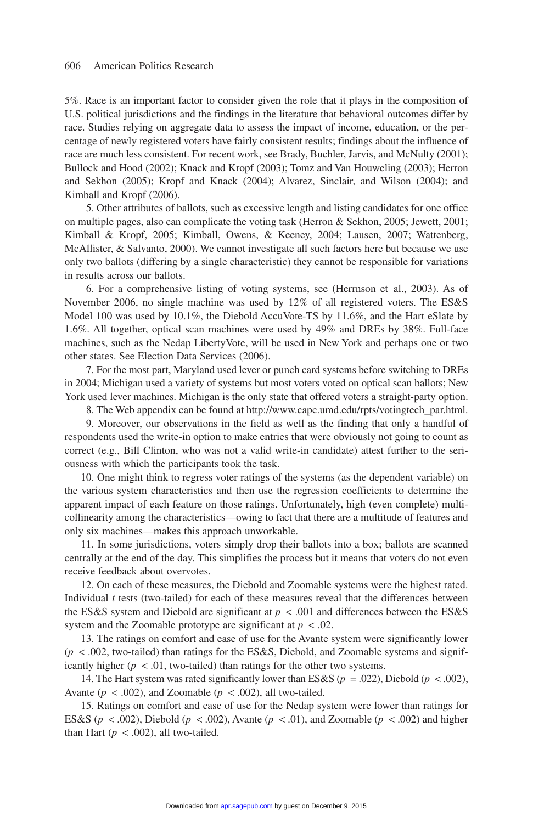5%. Race is an important factor to consider given the role that it plays in the composition of U.S. political jurisdictions and the findings in the literature that behavioral outcomes differ by race. Studies relying on aggregate data to assess the impact of income, education, or the percentage of newly registered voters have fairly consistent results; findings about the influence of race are much less consistent. For recent work, see Brady, Buchler, Jarvis, and McNulty (2001); Bullock and Hood (2002); Knack and Kropf (2003); Tomz and Van Houweling (2003); Herron and Sekhon (2005); Kropf and Knack (2004); Alvarez, Sinclair, and Wilson (2004); and Kimball and Kropf (2006).

5. Other attributes of ballots, such as excessive length and listing candidates for one office on multiple pages, also can complicate the voting task (Herron & Sekhon, 2005; Jewett, 2001; Kimball & Kropf, 2005; Kimball, Owens, & Keeney, 2004; Lausen, 2007; Wattenberg, McAllister, & Salvanto, 2000). We cannot investigate all such factors here but because we use only two ballots (differing by a single characteristic) they cannot be responsible for variations in results across our ballots.

6. For a comprehensive listing of voting systems, see (Herrnson et al., 2003). As of November 2006, no single machine was used by 12% of all registered voters. The ES&S Model 100 was used by 10.1%, the Diebold AccuVote-TS by 11.6%, and the Hart eSlate by 1.6%. All together, optical scan machines were used by 49% and DREs by 38%. Full-face machines, such as the Nedap LibertyVote, will be used in New York and perhaps one or two other states. See Election Data Services (2006).

7. For the most part, Maryland used lever or punch card systems before switching to DREs in 2004; Michigan used a variety of systems but most voters voted on optical scan ballots; New York used lever machines. Michigan is the only state that offered voters a straight-party option.

8. The Web appendix can be found at http://www.capc.umd.edu/rpts/votingtech\_par.html.

9. Moreover, our observations in the field as well as the finding that only a handful of respondents used the write-in option to make entries that were obviously not going to count as correct (e.g., Bill Clinton, who was not a valid write-in candidate) attest further to the seriousness with which the participants took the task.

10. One might think to regress voter ratings of the systems (as the dependent variable) on the various system characteristics and then use the regression coefficients to determine the apparent impact of each feature on those ratings. Unfortunately, high (even complete) multicollinearity among the characteristics—owing to fact that there are a multitude of features and only six machines—makes this approach unworkable.

11. In some jurisdictions, voters simply drop their ballots into a box; ballots are scanned centrally at the end of the day. This simplifies the process but it means that voters do not even receive feedback about overvotes.

12. On each of these measures, the Diebold and Zoomable systems were the highest rated. Individual *t* tests (two-tailed) for each of these measures reveal that the differences between the ES&S system and Diebold are significant at  $p < .001$  and differences between the ES&S system and the Zoomable prototype are significant at  $p < .02$ .

13. The ratings on comfort and ease of use for the Avante system were significantly lower  $(p < .002$ , two-tailed) than ratings for the ES&S, Diebold, and Zoomable systems and significantly higher  $(p < .01,$  two-tailed) than ratings for the other two systems.

14. The Hart system was rated significantly lower than ES&S ( $p = .022$ ), Diebold ( $p < .002$ ), Avante ( $p < .002$ ), and Zoomable ( $p < .002$ ), all two-tailed.

15. Ratings on comfort and ease of use for the Nedap system were lower than ratings for ES&S ( $p < .002$ ), Diebold ( $p < .002$ ), Avante ( $p < .01$ ), and Zoomable ( $p < .002$ ) and higher than Hart  $(p < .002)$ , all two-tailed.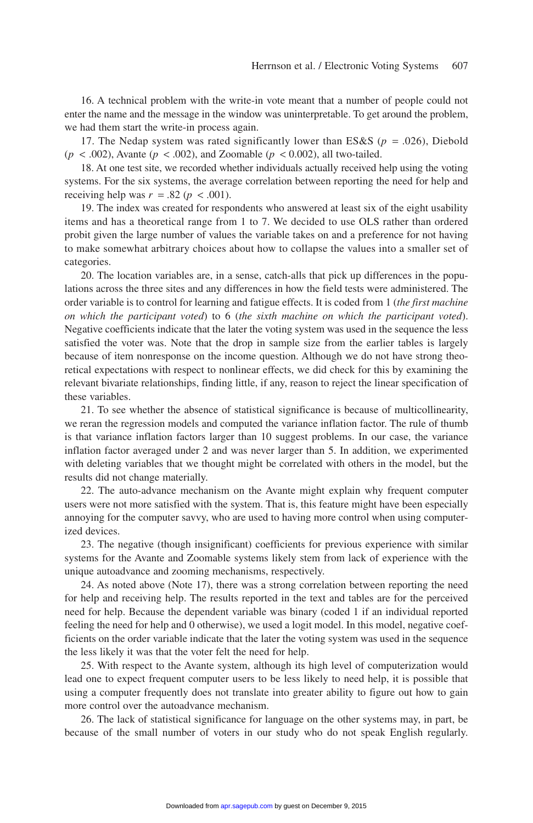16. A technical problem with the write-in vote meant that a number of people could not enter the name and the message in the window was uninterpretable. To get around the problem, we had them start the write-in process again.

17. The Nedap system was rated significantly lower than ES&S ( $p = .026$ ), Diebold  $(p < .002)$ , Avante  $(p < .002)$ , and Zoomable  $(p < .002)$ , all two-tailed.

18. At one test site, we recorded whether individuals actually received help using the voting systems. For the six systems, the average correlation between reporting the need for help and receiving help was  $r = .82$  ( $p < .001$ ).

19. The index was created for respondents who answered at least six of the eight usability items and has a theoretical range from 1 to 7. We decided to use OLS rather than ordered probit given the large number of values the variable takes on and a preference for not having to make somewhat arbitrary choices about how to collapse the values into a smaller set of categories.

20. The location variables are, in a sense, catch-alls that pick up differences in the populations across the three sites and any differences in how the field tests were administered. The order variable is to control for learning and fatigue effects. It is coded from 1 (*the first machine on which the participant voted*) to 6 (*the sixth machine on which the participant voted*). Negative coefficients indicate that the later the voting system was used in the sequence the less satisfied the voter was. Note that the drop in sample size from the earlier tables is largely because of item nonresponse on the income question. Although we do not have strong theoretical expectations with respect to nonlinear effects, we did check for this by examining the relevant bivariate relationships, finding little, if any, reason to reject the linear specification of these variables.

21. To see whether the absence of statistical significance is because of multicollinearity, we reran the regression models and computed the variance inflation factor. The rule of thumb is that variance inflation factors larger than 10 suggest problems. In our case, the variance inflation factor averaged under 2 and was never larger than 5. In addition, we experimented with deleting variables that we thought might be correlated with others in the model, but the results did not change materially.

22. The auto-advance mechanism on the Avante might explain why frequent computer users were not more satisfied with the system. That is, this feature might have been especially annoying for the computer savvy, who are used to having more control when using computerized devices.

23. The negative (though insignificant) coefficients for previous experience with similar systems for the Avante and Zoomable systems likely stem from lack of experience with the unique autoadvance and zooming mechanisms, respectively.

24. As noted above (Note 17), there was a strong correlation between reporting the need for help and receiving help. The results reported in the text and tables are for the perceived need for help. Because the dependent variable was binary (coded 1 if an individual reported feeling the need for help and 0 otherwise), we used a logit model. In this model, negative coefficients on the order variable indicate that the later the voting system was used in the sequence the less likely it was that the voter felt the need for help.

25. With respect to the Avante system, although its high level of computerization would lead one to expect frequent computer users to be less likely to need help, it is possible that using a computer frequently does not translate into greater ability to figure out how to gain more control over the autoadvance mechanism.

26. The lack of statistical significance for language on the other systems may, in part, be because of the small number of voters in our study who do not speak English regularly.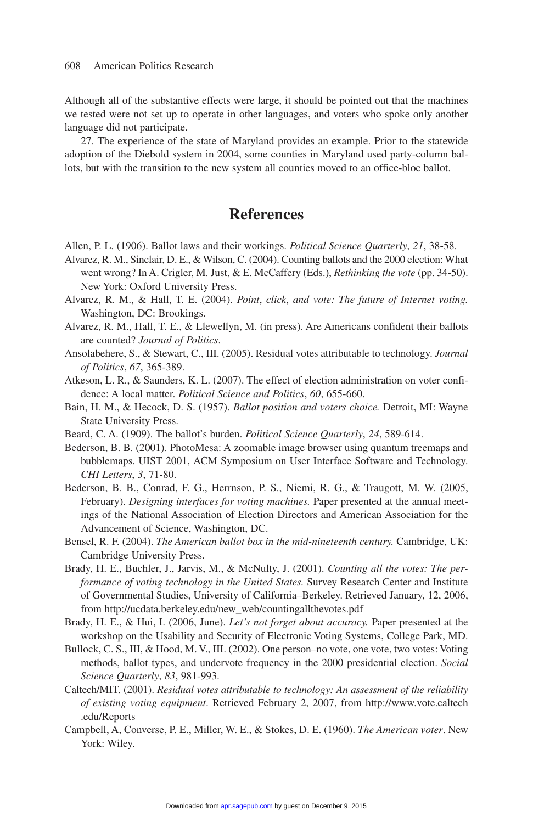Although all of the substantive effects were large, it should be pointed out that the machines we tested were not set up to operate in other languages, and voters who spoke only another language did not participate.

27. The experience of the state of Maryland provides an example. Prior to the statewide adoption of the Diebold system in 2004, some counties in Maryland used party-column ballots, but with the transition to the new system all counties moved to an office-bloc ballot.

#### **References**

Allen, P. L. (1906). Ballot laws and their workings. *Political Science Quarterly*, *21*, 38-58.

- Alvarez, R. M., Sinclair, D. E., & Wilson, C. (2004). Counting ballots and the 2000 election: What went wrong? In A. Crigler, M. Just, & E. McCaffery (Eds.), *Rethinking the vote* (pp. 34-50). New York: Oxford University Press.
- Alvarez, R. M., & Hall, T. E. (2004). *Point*, *click*, *and vote: The future of Internet voting.* Washington, DC: Brookings.
- Alvarez, R. M., Hall, T. E., & Llewellyn, M. (in press). Are Americans confident their ballots are counted? *Journal of Politics*.
- Ansolabehere, S., & Stewart, C., III. (2005). Residual votes attributable to technology. *Journal of Politics*, *67*, 365-389.
- Atkeson, L. R., & Saunders, K. L. (2007). The effect of election administration on voter confidence: A local matter. *Political Science and Politics*, *60*, 655-660.
- Bain, H. M., & Hecock, D. S. (1957). *Ballot position and voters choice.* Detroit, MI: Wayne State University Press.
- Beard, C. A. (1909). The ballot's burden. *Political Science Quarterly*, *24*, 589-614.
- Bederson, B. B. (2001). PhotoMesa: A zoomable image browser using quantum treemaps and bubblemaps. UIST 2001, ACM Symposium on User Interface Software and Technology. *CHI Letters*, *3*, 71-80.
- Bederson, B. B., Conrad, F. G., Herrnson, P. S., Niemi, R. G., & Traugott, M. W. (2005, February). *Designing interfaces for voting machines.* Paper presented at the annual meetings of the National Association of Election Directors and American Association for the Advancement of Science, Washington, DC.
- Bensel, R. F. (2004). *The American ballot box in the mid-nineteenth century.* Cambridge, UK: Cambridge University Press.
- Brady, H. E., Buchler, J., Jarvis, M., & McNulty, J. (2001). *Counting all the votes: The performance of voting technology in the United States.* Survey Research Center and Institute of Governmental Studies, University of California–Berkeley. Retrieved January, 12, 2006, from http://ucdata.berkeley.edu/new\_web/countingallthevotes.pdf
- Brady, H. E., & Hui, I. (2006, June). *Let's not forget about accuracy.* Paper presented at the workshop on the Usability and Security of Electronic Voting Systems, College Park, MD.
- Bullock, C. S., III, & Hood, M. V., III. (2002). One person–no vote, one vote, two votes: Voting methods, ballot types, and undervote frequency in the 2000 presidential election. *Social Science Quarterly*, *83*, 981-993.
- Caltech/MIT. (2001). *Residual votes attributable to technology: An assessment of the reliability of existing voting equipment*. Retrieved February 2, 2007, from http://www.vote.caltech .edu/Reports
- Campbell, A, Converse, P. E., Miller, W. E., & Stokes, D. E. (1960). *The American voter*. New York: Wiley.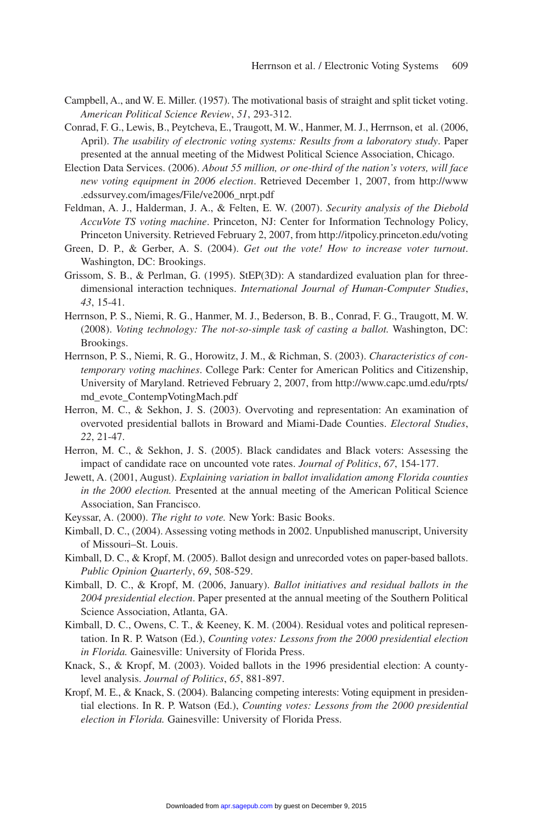- Campbell, A., and W. E. Miller. (1957). The motivational basis of straight and split ticket voting. *American Political Science Review*, *51*, 293-312.
- Conrad, F. G., Lewis, B., Peytcheva, E., Traugott, M. W., Hanmer, M. J., Herrnson, et al. (2006, April). *The usability of electronic voting systems: Results from a laboratory study*. Paper presented at the annual meeting of the Midwest Political Science Association, Chicago.
- Election Data Services. (2006). *About 55 million, or one-third of the nation's voters, will face new voting equipment in 2006 election*. Retrieved December 1, 2007, from http://www .edssurvey.com/images/File/ve2006\_nrpt.pdf
- Feldman, A. J., Halderman, J. A., & Felten, E. W. (2007). *Security analysis of the Diebold AccuVote TS voting machine*. Princeton, NJ: Center for Information Technology Policy, Princeton University. Retrieved February 2, 2007, from http://itpolicy.princeton.edu/voting
- Green, D. P., & Gerber, A. S. (2004). *Get out the vote! How to increase voter turnout*. Washington, DC: Brookings.
- Grissom, S. B., & Perlman, G. (1995). StEP(3D): A standardized evaluation plan for threedimensional interaction techniques. *International Journal of Human-Computer Studies*, *43*, 15-41.
- Herrnson, P. S., Niemi, R. G., Hanmer, M. J., Bederson, B. B., Conrad, F. G., Traugott, M. W. (2008). *Voting technology: The not-so-simple task of casting a ballot.* Washington, DC: Brookings.
- Herrnson, P. S., Niemi, R. G., Horowitz, J. M., & Richman, S. (2003). *Characteristics of contemporary voting machines*. College Park: Center for American Politics and Citizenship, University of Maryland. Retrieved February 2, 2007, from http://www.capc.umd.edu/rpts/ md\_evote\_ContempVotingMach.pdf
- Herron, M. C., & Sekhon, J. S. (2003). Overvoting and representation: An examination of overvoted presidential ballots in Broward and Miami-Dade Counties. *Electoral Studies*, *22*, 21-47.
- Herron, M. C., & Sekhon, J. S. (2005). Black candidates and Black voters: Assessing the impact of candidate race on uncounted vote rates. *Journal of Politics*, *67*, 154-177.
- Jewett, A. (2001, August). *Explaining variation in ballot invalidation among Florida counties in the 2000 election.* Presented at the annual meeting of the American Political Science Association, San Francisco.
- Keyssar, A. (2000). *The right to vote.* New York: Basic Books.
- Kimball, D. C., (2004). Assessing voting methods in 2002. Unpublished manuscript, University of Missouri–St. Louis.
- Kimball, D. C., & Kropf, M. (2005). Ballot design and unrecorded votes on paper-based ballots. *Public Opinion Quarterly*, *69*, 508-529.
- Kimball, D. C., & Kropf, M. (2006, January). *Ballot initiatives and residual ballots in the 2004 presidential election*. Paper presented at the annual meeting of the Southern Political Science Association, Atlanta, GA.
- Kimball, D. C., Owens, C. T., & Keeney, K. M. (2004). Residual votes and political representation. In R. P. Watson (Ed.), *Counting votes: Lessons from the 2000 presidential election in Florida.* Gainesville: University of Florida Press.
- Knack, S., & Kropf, M. (2003). Voided ballots in the 1996 presidential election: A countylevel analysis. *Journal of Politics*, *65*, 881-897.
- Kropf, M. E., & Knack, S. (2004). Balancing competing interests: Voting equipment in presidential elections. In R. P. Watson (Ed.), *Counting votes: Lessons from the 2000 presidential election in Florida.* Gainesville: University of Florida Press.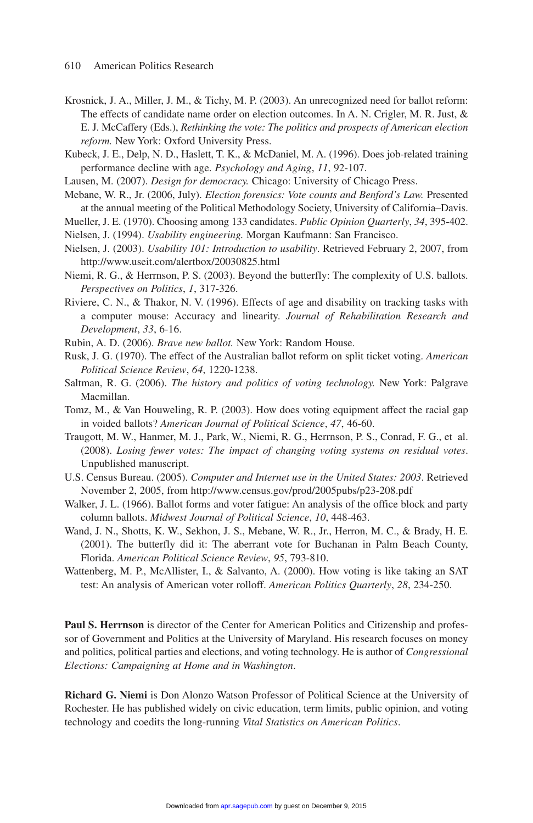- Krosnick, J. A., Miller, J. M., & Tichy, M. P. (2003). An unrecognized need for ballot reform: The effects of candidate name order on election outcomes. In A. N. Crigler, M. R. Just, & E. J. McCaffery (Eds.), *Rethinking the vote: The politics and prospects of American election reform.* New York: Oxford University Press.
- Kubeck, J. E., Delp, N. D., Haslett, T. K., & McDaniel, M. A. (1996). Does job-related training performance decline with age. *Psychology and Aging*, *11*, 92-107.
- Lausen, M. (2007). *Design for democracy.* Chicago: University of Chicago Press.
- Mebane, W. R., Jr. (2006, July). *Election forensics: Vote counts and Benford's Law.* Presented at the annual meeting of the Political Methodology Society, University of California–Davis.
- Mueller, J. E. (1970). Choosing among 133 candidates. *Public Opinion Quarterly*, *34*, 395-402.
- Nielsen, J. (1994). *Usability engineering.* Morgan Kaufmann: San Francisco.
- Nielsen, J. (2003). *Usability 101: Introduction to usability*. Retrieved February 2, 2007, from http://www.useit.com/alertbox/20030825.html
- Niemi, R. G., & Herrnson, P. S. (2003). Beyond the butterfly: The complexity of U.S. ballots. *Perspectives on Politics*, *1*, 317-326.
- Riviere, C. N., & Thakor, N. V. (1996). Effects of age and disability on tracking tasks with a computer mouse: Accuracy and linearity. *Journal of Rehabilitation Research and Development*, *33*, 6-16.
- Rubin, A. D. (2006). *Brave new ballot.* New York: Random House.
- Rusk, J. G. (1970). The effect of the Australian ballot reform on split ticket voting. *American Political Science Review*, *64*, 1220-1238.
- Saltman, R. G. (2006). *The history and politics of voting technology.* New York: Palgrave Macmillan.
- Tomz, M., & Van Houweling, R. P. (2003). How does voting equipment affect the racial gap in voided ballots? *American Journal of Political Science*, *47*, 46-60.
- Traugott, M. W., Hanmer, M. J., Park, W., Niemi, R. G., Herrnson, P. S., Conrad, F. G., et al. (2008). *Losing fewer votes: The impact of changing voting systems on residual votes*. Unpublished manuscript.
- U.S. Census Bureau. (2005). *Computer and Internet use in the United States: 2003*. Retrieved November 2, 2005, from http://www.census.gov/prod/2005pubs/p23-208.pdf
- Walker, J. L. (1966). Ballot forms and voter fatigue: An analysis of the office block and party column ballots. *Midwest Journal of Political Science*, *10*, 448-463.
- Wand, J. N., Shotts, K. W., Sekhon, J. S., Mebane, W. R., Jr., Herron, M. C., & Brady, H. E. (2001). The butterfly did it: The aberrant vote for Buchanan in Palm Beach County, Florida. *American Political Science Review*, *95*, 793-810.
- Wattenberg, M. P., McAllister, I., & Salvanto, A. (2000). How voting is like taking an SAT test: An analysis of American voter rolloff. *American Politics Quarterly*, *28*, 234-250.

**Paul S. Herrnson** is director of the Center for American Politics and Citizenship and professor of Government and Politics at the University of Maryland. His research focuses on money and politics, political parties and elections, and voting technology. He is author of *Congressional Elections: Campaigning at Home and in Washington*.

**Richard G. Niemi** is Don Alonzo Watson Professor of Political Science at the University of Rochester. He has published widely on civic education, term limits, public opinion, and voting technology and coedits the long-running *Vital Statistics on American Politics*.